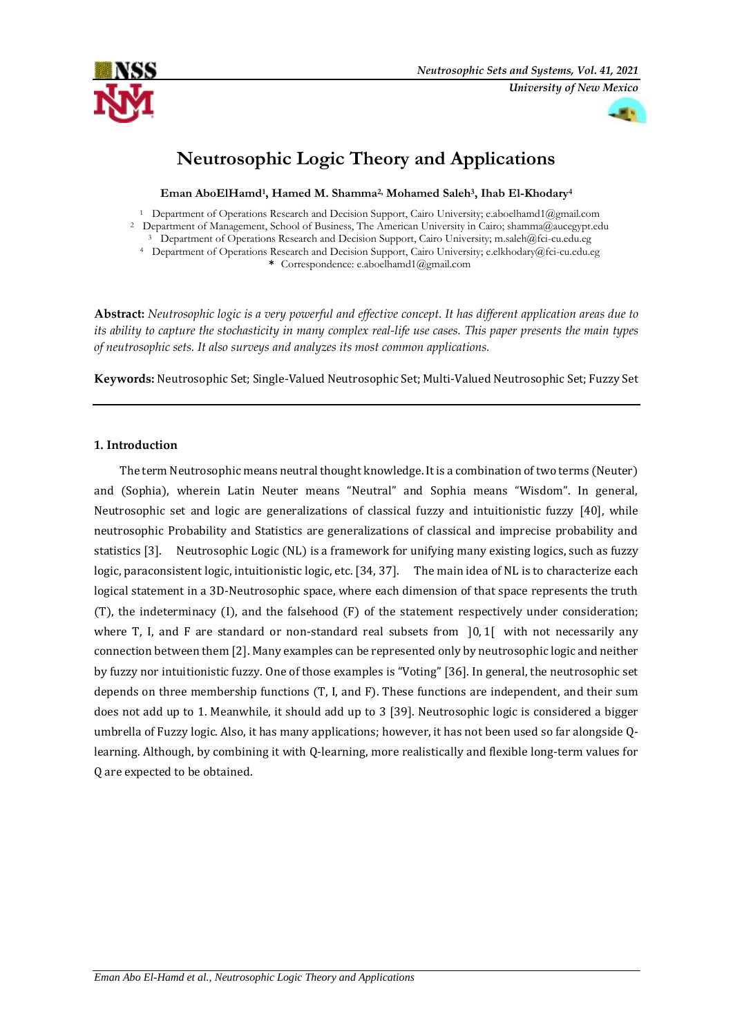



# **Neutrosophic Logic Theory and Applications**

**Eman AboElHamd<sup>1</sup> , Hamed M. Shamma2, Mohamed Saleh<sup>3</sup> , Ihab El-Khodary<sup>4</sup>**

<sup>1</sup> Department of Operations Research and Decision Support, Cairo University; e.aboelhamd1@gmail.com

<sup>2</sup> Department of Management, School of Business, The American University in Cairo; shamma@aucegypt.edu

<sup>3</sup> Department of Operations Research and Decision Support, Cairo University; m.saleh@fci-cu.edu.eg <sup>4</sup> Department of Operations Research and Decision Support, Cairo University; e.elkhodary@fci-cu.edu.eg

**\*** Correspondence: e.aboelhamd1@gmail.com

**Abstract:** *Neutrosophic logic is a very powerful and effective concept. It has different application areas due to its ability to capture the stochasticity in many complex real-life use cases. This paper presents the main types of neutrosophic sets. It also surveys and analyzes its most common applications.* 

**Keywords:** Neutrosophic Set; Single-Valued Neutrosophic Set; Multi-Valued Neutrosophic Set; Fuzzy Set

# **1. Introduction**

The ter[m Neutrosophic](https://www.youtube.com/watch?v=KwOOppCSYPE) means neutral thought knowledge. It is a combination of two terms (Neuter) and (Sophia), wherein Latin Neuter means "Neutral" and Sophia means "Wisdom". In general, Neutrosophic set and logic are generalizations of classical fuzzy and intuitionistic fuzzy [40], while neutrosophic Probability and Statistics are generalizations of classical and imprecise probability and statistics [3]. Neutrosophic Logic (NL) is a framework for unifying many existing logics, such as fuzzy logic, paraconsistent logic, intuitionistic logic, etc. [34, 37]. The main idea of NL is to characterize each logical statement in a 3D-Neutrosophic space, where each dimension of that space represents the truth (T), the indeterminacy (I), and the falsehood (F) of the statement respectively under consideration; where T, I, and F are standard or non-standard real subsets from 10.1 with not necessarily any connection between them [2]. Many examples can be represented only by neutrosophic logic and neither by fuzzy nor intuitionistic fuzzy. One of those examples is "Voting" [36]. In general, the neutrosophic set depends on three membership functions (T, I, and F). These functions are independent, and their sum does not add up to 1. Meanwhile, it should add up to 3 [39]. Neutrosophic logic is considered a bigger umbrella of Fuzzy logic. Also, it has many applications; however, it has not been used so far alongside Qlearning. Although, by combining it with Q-learning, more realistically and flexible long-term values for Q are expected to be obtained.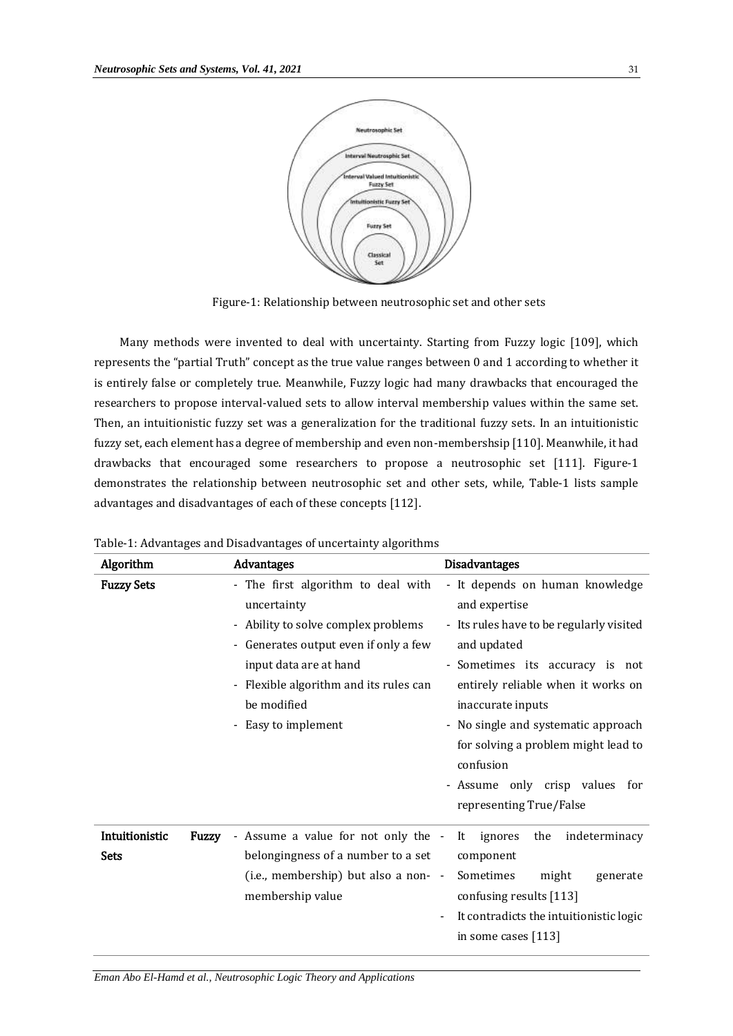

Figure-1: Relationship between neutrosophic set and other sets

Many methods were invented to deal with uncertainty. Starting from Fuzzy logic [109], which represents the "partial Truth" concept as the true value ranges between 0 and 1 according to whether it is entirely false or completely true. Meanwhile, Fuzzy logic had many drawbacks that encouraged the researchers to propose interval-valued sets to allow interval membership values within the same set. Then, an intuitionistic fuzzy set was a generalization for the traditional fuzzy sets. In an intuitionistic fuzzy set, each element has a degree of membership and even non-membershsip [110]. Meanwhile, it had drawbacks that encouraged some researchers to propose a neutrosophic set [111]. Figure-1 demonstrates the relationship between neutrosophic set and other sets, while, Table-1 lists sample advantages and disadvantages of each of these concepts [112].

| Algorithm                     | Advantages                                                                                                                                                                                                                                  | <b>Disadvantages</b>                                                                                                                                                                                                                                                                                                                                              |
|-------------------------------|---------------------------------------------------------------------------------------------------------------------------------------------------------------------------------------------------------------------------------------------|-------------------------------------------------------------------------------------------------------------------------------------------------------------------------------------------------------------------------------------------------------------------------------------------------------------------------------------------------------------------|
| <b>Fuzzy Sets</b>             | - The first algorithm to deal with<br>uncertainty<br>- Ability to solve complex problems<br>- Generates output even if only a few<br>input data are at hand<br>- Flexible algorithm and its rules can<br>be modified<br>- Easy to implement | - It depends on human knowledge<br>and expertise<br>- Its rules have to be regularly visited<br>and updated<br>- Sometimes its accuracy is not<br>entirely reliable when it works on<br>inaccurate inputs<br>- No single and systematic approach<br>for solving a problem might lead to<br>confusion<br>- Assume only crisp values for<br>representing True/False |
| Intuitionistic<br><b>Sets</b> | Assume a value for not only the -<br>Fuzzy<br>belongingness of a number to a set<br>(i.e., membership) but also a non- -<br>membership value                                                                                                | indeterminacy<br>ignores<br>It<br>the<br>component<br>Sometimes<br>might<br>generate<br>confusing results [113]<br>It contradicts the intuitionistic logic<br>in some cases [113]                                                                                                                                                                                 |

Table-1: Advantages and Disadvantages of uncertainty algorithms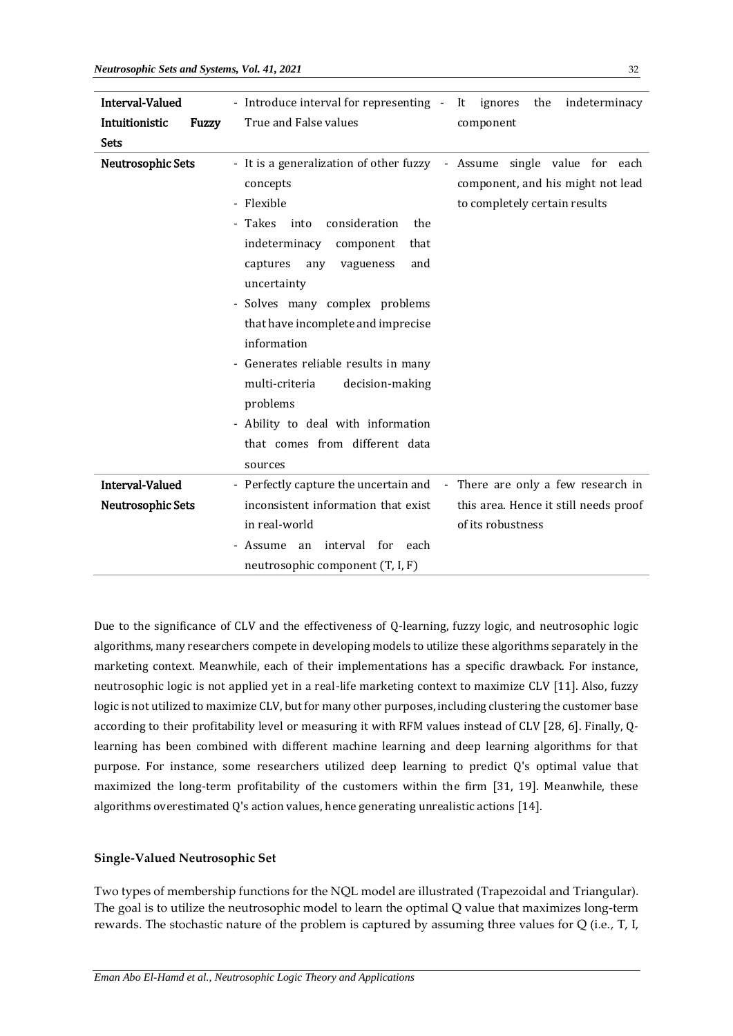| <b>Interval-Valued</b>   | - Introduce interval for representing - It ignores the<br>indeterminacy                                                                                                                                                                                                                                                                                                                                                                                                                                                                                                    |
|--------------------------|----------------------------------------------------------------------------------------------------------------------------------------------------------------------------------------------------------------------------------------------------------------------------------------------------------------------------------------------------------------------------------------------------------------------------------------------------------------------------------------------------------------------------------------------------------------------------|
| Intuitionistic           | True and False values<br>Fuzzy<br>component                                                                                                                                                                                                                                                                                                                                                                                                                                                                                                                                |
| <b>Sets</b>              |                                                                                                                                                                                                                                                                                                                                                                                                                                                                                                                                                                            |
| <b>Neutrosophic Sets</b> | - It is a generalization of other fuzzy - Assume single value for each<br>component, and his might not lead<br>concepts<br>- Flexible<br>to completely certain results<br>- Takes into<br>consideration<br>the<br>indeterminacy component<br>that<br>captures<br>vagueness<br>and<br>any<br>uncertainty<br>- Solves many complex problems<br>that have incomplete and imprecise<br>information<br>- Generates reliable results in many<br>multi-criteria<br>decision-making<br>problems<br>- Ability to deal with information<br>that comes from different data<br>sources |
| Interval-Valued          | - Perfectly capture the uncertain and - There are only a few research in                                                                                                                                                                                                                                                                                                                                                                                                                                                                                                   |
| <b>Neutrosophic Sets</b> | inconsistent information that exist<br>this area. Hence it still needs proof<br>in real-world<br>of its robustness<br>- Assume an interval for each<br>neutrosophic component (T, I, F)                                                                                                                                                                                                                                                                                                                                                                                    |

Due to the significance of CLV and the effectiveness of Q-learning, fuzzy logic, and neutrosophic logic algorithms, many researchers compete in developing models to utilize these algorithms separately in the marketing context. Meanwhile, each of their implementations has a specific drawback. For instance, neutrosophic logic is not applied yet in a real-life marketing context to maximize CLV [11]. Also, fuzzy logic is not utilized to maximize CLV, but for many other purposes, including clustering the customer base according to their profitability level or measuring it with RFM values instead of CLV [28, 6]. Finally, Qlearning has been combined with different machine learning and deep learning algorithms for that purpose. For instance, some researchers utilized deep learning to predict Q's optimal value that maximized the long-term profitability of the customers within the firm [31, 19]. Meanwhile, these algorithms overestimated Q's action values, hence generating unrealistic actions [14].

## **Single-Valued Neutrosophic Set**

Two types of membership functions for the NQL model are illustrated (Trapezoidal and Triangular). The goal is to utilize the neutrosophic model to learn the optimal Q value that maximizes long-term rewards. The stochastic nature of the problem is captured by assuming three values for Q (i.e., T, I,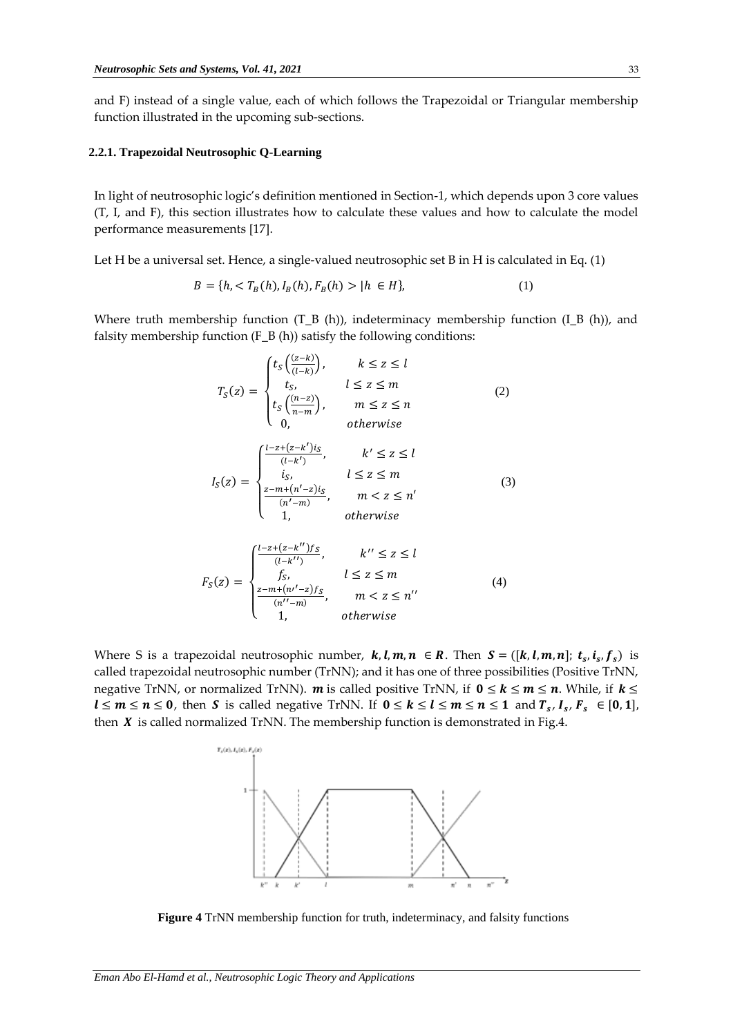and F) instead of a single value, each of which follows the Trapezoidal or Triangular membership function illustrated in the upcoming sub-sections.

#### **2.2.1. Trapezoidal Neutrosophic Q-Learning**

In light of neutrosophic logic's definition mentioned in Section-1, which depends upon 3 core values (T, I, and F), this section illustrates how to calculate these values and how to calculate the model performance measurements [17].

Let H be a universal set. Hence, a single-valued neutrosophic set B in H is calculated in Eq. (1)

$$
B = \{h, < T_B(h), I_B(h), F_B(h) > |h \in H\},\tag{1}
$$

Where truth membership function  $(T_B (h))$ , indeterminacy membership function  $(I_B (h))$ , and falsity membership function (F\_B (h)) satisfy the following conditions:

$$
T_S(z) = \begin{cases} t_S\left(\frac{(z-k)}{(l-k)}\right), & k \le z \le l\\ t_S, & l \le z \le m\\ t_S\left(\frac{(n-z)}{n-m}\right), & m \le z \le n\\ 0, & otherwise \end{cases}
$$
(2)

$$
I_S(z) = \begin{cases} \frac{l-z + (z-k')is}{(l-k')}, & k' \leq z \leq l\\ i_S, & l \leq z \leq m\\ \frac{z-m + (n'-z)s}{(n'-m)}, & m < z \leq n'\\ 1, & otherwise \end{cases} \tag{3}
$$

$$
F_S(z) = \begin{cases} \frac{l-z + (z-k'')f_S}{(l-k'')}, & k'' \leq z \leq l\\ f_S, & l \leq z \leq m\\ \frac{z - m + (n'-z)f_S}{(n''-m)}, & m < z \leq n''\\ 1, & otherwise \end{cases}
$$
(4)

Where S is a trapezoidal neutrosophic number,  $k, l, m, n \in R$ . Then  $S = ([k, l, m, n]; t_s, i_s, f_s)$  is called trapezoidal neutrosophic number (TrNN); and it has one of three possibilities (Positive TrNN, negative TrNN, or normalized TrNN). **m** is called positive TrNN, if  $0 \le k \le m \le n$ . While, if  $k \le$  $l \leq m \leq n \leq 0$ , then S is called negative TrNN. If  $0 \leq k \leq l \leq m \leq n \leq 1$  and  $T_s$ ,  $I_s$ ,  $F_s \in [0,1]$ , then  $X$  is called normalized TrNN. The membership function is demonstrated in Fig.4.



**Figure 4** TrNN membership function for truth, indeterminacy, and falsity functions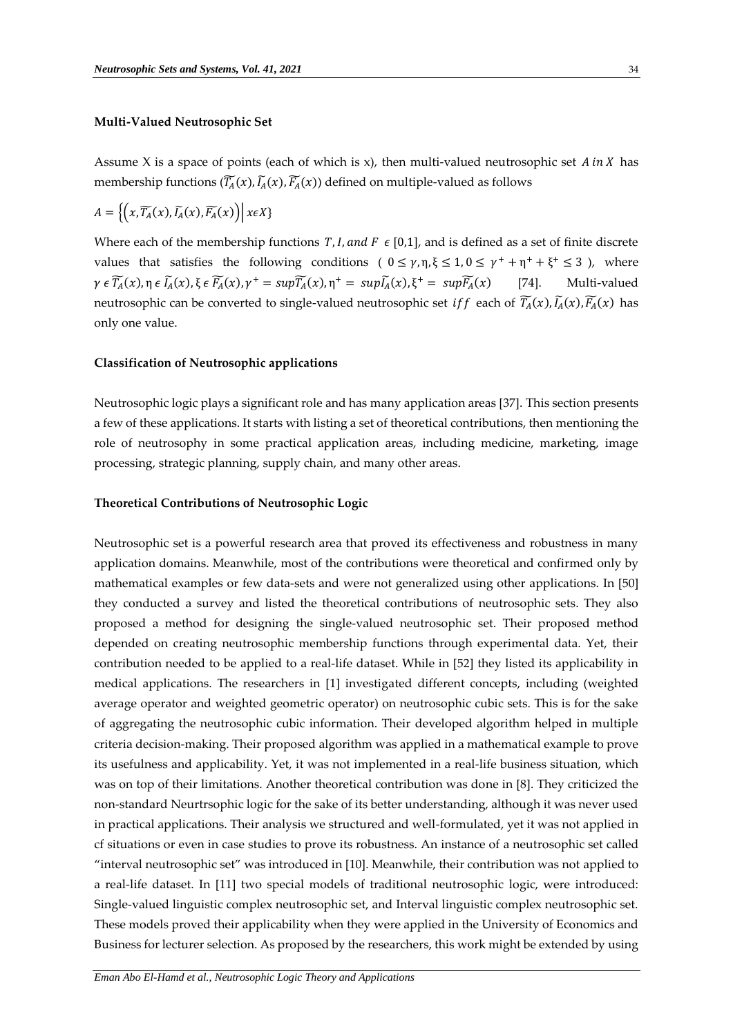#### **Multi-Valued Neutrosophic Set**

Assume X is a space of points (each of which is x), then multi-valued neutrosophic set  $A$  in  $X$  has membership functions  $(\widetilde{T_A}(x),\widetilde{I_A}(x),\widetilde{F_A}(x))$  defined on multiple-valued as follows

$$
A = \left\{ \left( x, \widetilde{T_A}(x), \widetilde{I_A}(x), \widetilde{F_A}(x) \right) \middle| \ x \in X \right\}
$$

Where each of the membership functions  $T$ , *I*, and  $F \in [0,1]$ , and is defined as a set of finite discrete values that satisfies the following conditions  $(0 \le \gamma, \eta, \xi \le 1, 0 \le \gamma^+ + \eta^+ + \xi^+ \le 3)$ , where  $\gamma \in \widetilde{T_A}(x)$ ,  $\eta \in \widetilde{I_A}(x)$ ,  $\xi \in \widetilde{F_A}(x)$ ,  $\gamma^+ = \sup \widetilde{T_A}(x)$ ,  $\eta^+ = \sup \widetilde{I_A}(x)$ ,  $\xi^+ = \sup \widetilde{F_A}$ [74]. Multi-valued neutrosophic can be converted to single-valued neutrosophic set *iff* each of  $\widetilde{T_A}(x)$ ,  $\widetilde{I_A}(x)$ ,  $\widetilde{F_A}(x)$  has only one value.

#### **Classification of Neutrosophic applications**

Neutrosophic logic plays a significant role and has many application areas [37]. This section presents a few of these applications. It starts with listing a set of theoretical contributions, then mentioning the role of neutrosophy in some practical application areas, including medicine, marketing, image processing, strategic planning, supply chain, and many other areas.

#### **Theoretical Contributions of Neutrosophic Logic**

Neutrosophic set is a powerful research area that proved its effectiveness and robustness in many application domains. Meanwhile, most of the contributions were theoretical and confirmed only by mathematical examples or few data-sets and were not generalized using other applications. In [50] they conducted a survey and listed the theoretical contributions of neutrosophic sets. They also proposed a method for designing the single-valued neutrosophic set. Their proposed method depended on creating neutrosophic membership functions through experimental data. Yet, their contribution needed to be applied to a real-life dataset. While in [52] they listed its applicability in medical applications. The researchers in [1] investigated different concepts, including (weighted average operator and weighted geometric operator) on neutrosophic cubic sets. This is for the sake of aggregating the neutrosophic cubic information. Their developed algorithm helped in multiple criteria decision-making. Their proposed algorithm was applied in a mathematical example to prove its usefulness and applicability. Yet, it was not implemented in a real-life business situation, which was on top of their limitations. Another theoretical contribution was done in [8]. They criticized the non-standard Neurtrsophic logic for the sake of its better understanding, although it was never used in practical applications. Their analysis we structured and well-formulated, yet it was not applied in cf situations or even in case studies to prove its robustness. An instance of a neutrosophic set called "interval neutrosophic set" was introduced in [10]. Meanwhile, their contribution was not applied to a real-life dataset. In [11] two special models of traditional neutrosophic logic, were introduced: Single-valued linguistic complex neutrosophic set, and Interval linguistic complex neutrosophic set. These models proved their applicability when they were applied in the University of Economics and Business for lecturer selection. As proposed by the researchers, this work might be extended by using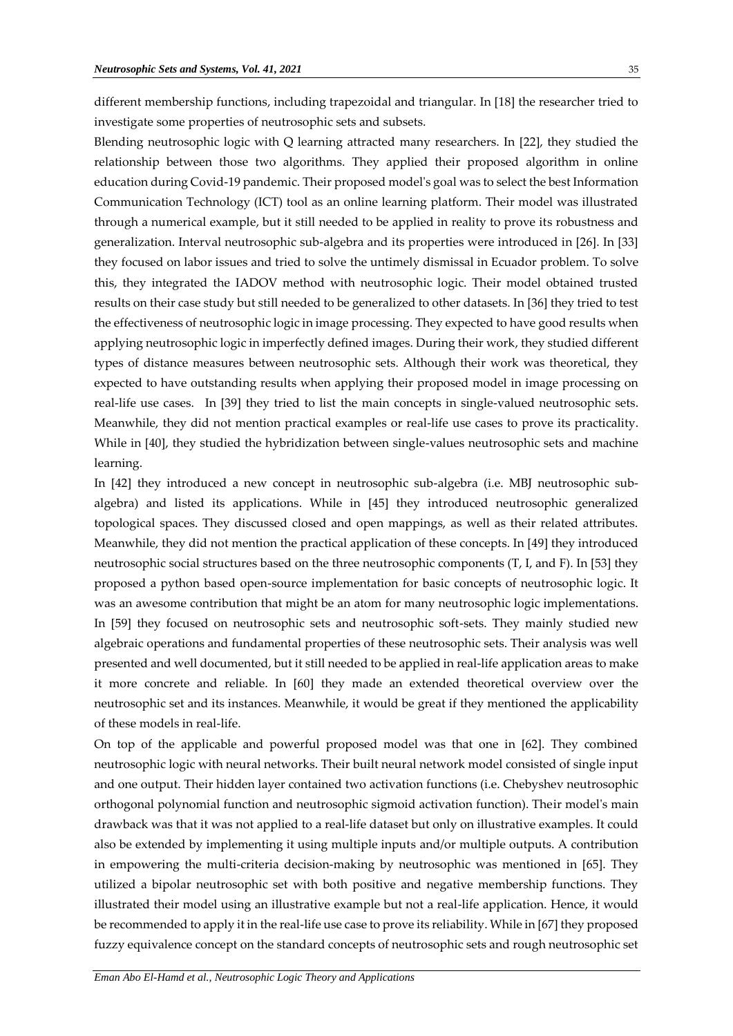different membership functions, including trapezoidal and triangular. In [18] the researcher tried to investigate some properties of neutrosophic sets and subsets.

Blending neutrosophic logic with Q learning attracted many researchers. In [22], they studied the relationship between those two algorithms. They applied their proposed algorithm in online education during Covid-19 pandemic. Their proposed model's goal was to select the best Information Communication Technology (ICT) tool as an online learning platform. Their model was illustrated through a numerical example, but it still needed to be applied in reality to prove its robustness and generalization. Interval neutrosophic sub-algebra and its properties were introduced in [26]. In [33] they focused on labor issues and tried to solve the untimely dismissal in Ecuador problem. To solve this, they integrated the IADOV method with neutrosophic logic. Their model obtained trusted results on their case study but still needed to be generalized to other datasets. In [36] they tried to test the effectiveness of neutrosophic logic in image processing. They expected to have good results when applying neutrosophic logic in imperfectly defined images. During their work, they studied different types of distance measures between neutrosophic sets. Although their work was theoretical, they expected to have outstanding results when applying their proposed model in image processing on real-life use cases. In [39] they tried to list the main concepts in single-valued neutrosophic sets. Meanwhile, they did not mention practical examples or real-life use cases to prove its practicality. While in [40], they studied the hybridization between single-values neutrosophic sets and machine learning.

In [42] they introduced a new concept in neutrosophic sub-algebra (i.e. MBJ neutrosophic subalgebra) and listed its applications. While in [45] they introduced neutrosophic generalized topological spaces. They discussed closed and open mappings, as well as their related attributes. Meanwhile, they did not mention the practical application of these concepts. In [49] they introduced neutrosophic social structures based on the three neutrosophic components (T, I, and F). In [53] they proposed a python based open-source implementation for basic concepts of neutrosophic logic. It was an awesome contribution that might be an atom for many neutrosophic logic implementations. In [59] they focused on neutrosophic sets and neutrosophic soft-sets. They mainly studied new algebraic operations and fundamental properties of these neutrosophic sets. Their analysis was well presented and well documented, but it still needed to be applied in real-life application areas to make it more concrete and reliable. In [60] they made an extended theoretical overview over the neutrosophic set and its instances. Meanwhile, it would be great if they mentioned the applicability of these models in real-life.

On top of the applicable and powerful proposed model was that one in [62]. They combined neutrosophic logic with neural networks. Their built neural network model consisted of single input and one output. Their hidden layer contained two activation functions (i.e. Chebyshev neutrosophic orthogonal polynomial function and neutrosophic sigmoid activation function). Their model's main drawback was that it was not applied to a real-life dataset but only on illustrative examples. It could also be extended by implementing it using multiple inputs and/or multiple outputs. A contribution in empowering the multi-criteria decision-making by neutrosophic was mentioned in [65]. They utilized a bipolar neutrosophic set with both positive and negative membership functions. They illustrated their model using an illustrative example but not a real-life application. Hence, it would be recommended to apply it in the real-life use case to prove its reliability. While in [67] they proposed fuzzy equivalence concept on the standard concepts of neutrosophic sets and rough neutrosophic set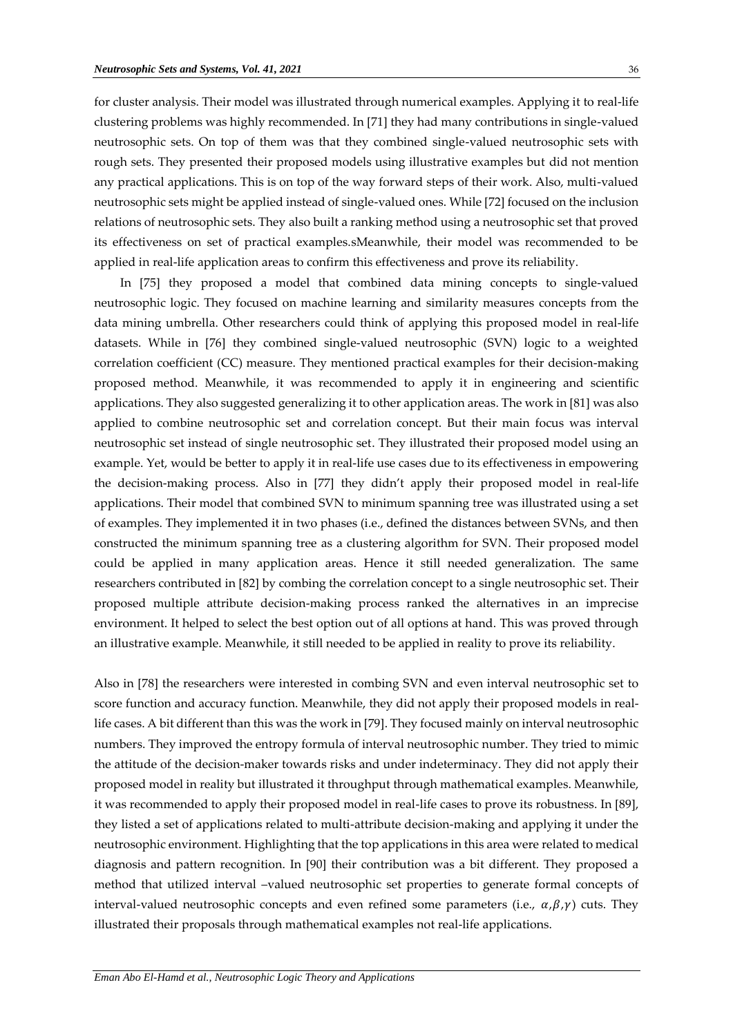for cluster analysis. Their model was illustrated through numerical examples. Applying it to real-life clustering problems was highly recommended. In [71] they had many contributions in single-valued neutrosophic sets. On top of them was that they combined single-valued neutrosophic sets with rough sets. They presented their proposed models using illustrative examples but did not mention any practical applications. This is on top of the way forward steps of their work. Also, multi-valued neutrosophic sets might be applied instead of single-valued ones. While [72] focused on the inclusion relations of neutrosophic sets. They also built a ranking method using a neutrosophic set that proved its effectiveness on set of practical examples.sMeanwhile, their model was recommended to be applied in real-life application areas to confirm this effectiveness and prove its reliability.

In [75] they proposed a model that combined data mining concepts to single-valued neutrosophic logic. They focused on machine learning and similarity measures concepts from the data mining umbrella. Other researchers could think of applying this proposed model in real-life datasets. While in [76] they combined single-valued neutrosophic (SVN) logic to a weighted correlation coefficient (CC) measure. They mentioned practical examples for their decision-making proposed method. Meanwhile, it was recommended to apply it in engineering and scientific applications. They also suggested generalizing it to other application areas. The work in [81] was also applied to combine neutrosophic set and correlation concept. But their main focus was interval neutrosophic set instead of single neutrosophic set. They illustrated their proposed model using an example. Yet, would be better to apply it in real-life use cases due to its effectiveness in empowering the decision-making process. Also in [77] they didn't apply their proposed model in real-life applications. Their model that combined SVN to minimum spanning tree was illustrated using a set of examples. They implemented it in two phases (i.e., defined the distances between SVNs, and then constructed the minimum spanning tree as a clustering algorithm for SVN. Their proposed model could be applied in many application areas. Hence it still needed generalization. The same researchers contributed in [82] by combing the correlation concept to a single neutrosophic set. Their proposed multiple attribute decision-making process ranked the alternatives in an imprecise environment. It helped to select the best option out of all options at hand. This was proved through an illustrative example. Meanwhile, it still needed to be applied in reality to prove its reliability.

Also in [78] the researchers were interested in combing SVN and even interval neutrosophic set to score function and accuracy function. Meanwhile, they did not apply their proposed models in reallife cases. A bit different than this was the work in [79]. They focused mainly on interval neutrosophic numbers. They improved the entropy formula of interval neutrosophic number. They tried to mimic the attitude of the decision-maker towards risks and under indeterminacy. They did not apply their proposed model in reality but illustrated it throughput through mathematical examples. Meanwhile, it was recommended to apply their proposed model in real-life cases to prove its robustness. In [89], they listed a set of applications related to multi-attribute decision-making and applying it under the neutrosophic environment. Highlighting that the top applications in this area were related to medical diagnosis and pattern recognition. In [90] their contribution was a bit different. They proposed a method that utilized interval –valued neutrosophic set properties to generate formal concepts of interval-valued neutrosophic concepts and even refined some parameters (i.e.,  $\alpha$ , $\beta$ , $\gamma$ ) cuts. They illustrated their proposals through mathematical examples not real-life applications.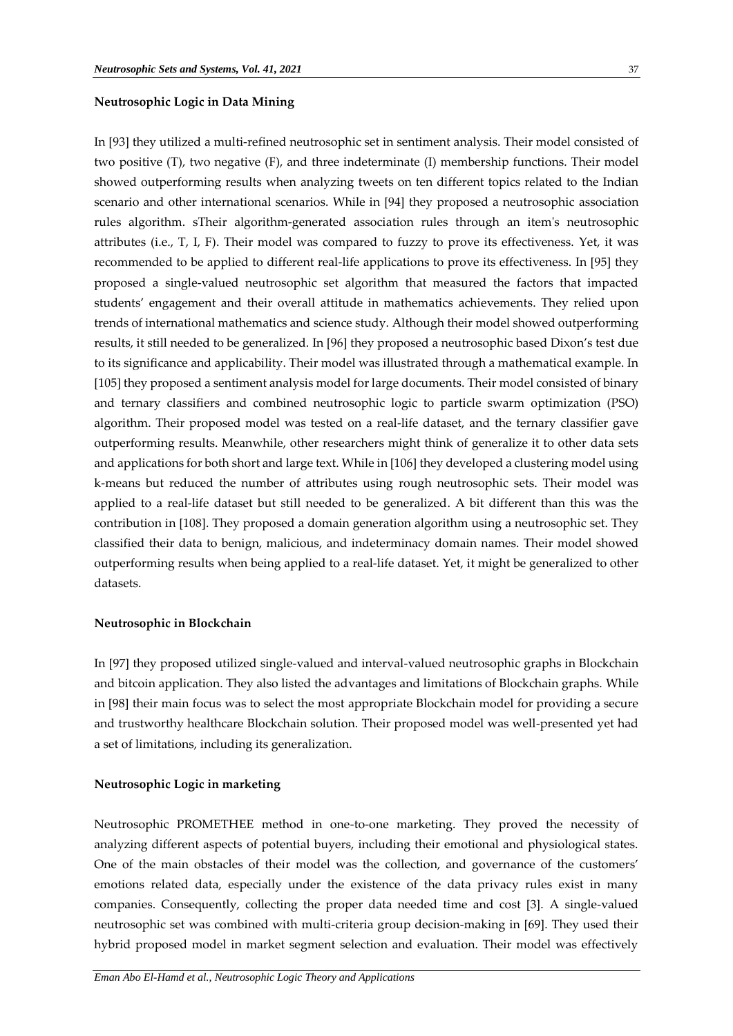## **Neutrosophic Logic in Data Mining**

In [93] they utilized a multi-refined neutrosophic set in sentiment analysis. Their model consisted of two positive (T), two negative (F), and three indeterminate (I) membership functions. Their model showed outperforming results when analyzing tweets on ten different topics related to the Indian scenario and other international scenarios. While in [94] they proposed a neutrosophic association rules algorithm. sTheir algorithm-generated association rules through an item's neutrosophic attributes (i.e., T, I, F). Their model was compared to fuzzy to prove its effectiveness. Yet, it was recommended to be applied to different real-life applications to prove its effectiveness. In [95] they proposed a single-valued neutrosophic set algorithm that measured the factors that impacted students' engagement and their overall attitude in mathematics achievements. They relied upon trends of international mathematics and science study. Although their model showed outperforming results, it still needed to be generalized. In [96] they proposed a neutrosophic based Dixon's test due to its significance and applicability. Their model was illustrated through a mathematical example. In [105] they proposed a sentiment analysis model for large documents. Their model consisted of binary and ternary classifiers and combined neutrosophic logic to particle swarm optimization (PSO) algorithm. Their proposed model was tested on a real-life dataset, and the ternary classifier gave outperforming results. Meanwhile, other researchers might think of generalize it to other data sets and applications for both short and large text. While in [106] they developed a clustering model using k-means but reduced the number of attributes using rough neutrosophic sets. Their model was applied to a real-life dataset but still needed to be generalized. A bit different than this was the contribution in [108]. They proposed a domain generation algorithm using a neutrosophic set. They classified their data to benign, malicious, and indeterminacy domain names. Their model showed outperforming results when being applied to a real-life dataset. Yet, it might be generalized to other datasets.

## **Neutrosophic in Blockchain**

In [97] they proposed utilized single-valued and interval-valued neutrosophic graphs in Blockchain and bitcoin application. They also listed the advantages and limitations of Blockchain graphs. While in [98] their main focus was to select the most appropriate Blockchain model for providing a secure and trustworthy healthcare Blockchain solution. Their proposed model was well-presented yet had a set of limitations, including its generalization.

#### **Neutrosophic Logic in marketing**

Neutrosophic PROMETHEE method in one-to-one marketing. They proved the necessity of analyzing different aspects of potential buyers, including their emotional and physiological states. One of the main obstacles of their model was the collection, and governance of the customers' emotions related data, especially under the existence of the data privacy rules exist in many companies. Consequently, collecting the proper data needed time and cost [3]. A single-valued neutrosophic set was combined with multi-criteria group decision-making in [69]. They used their hybrid proposed model in market segment selection and evaluation. Their model was effectively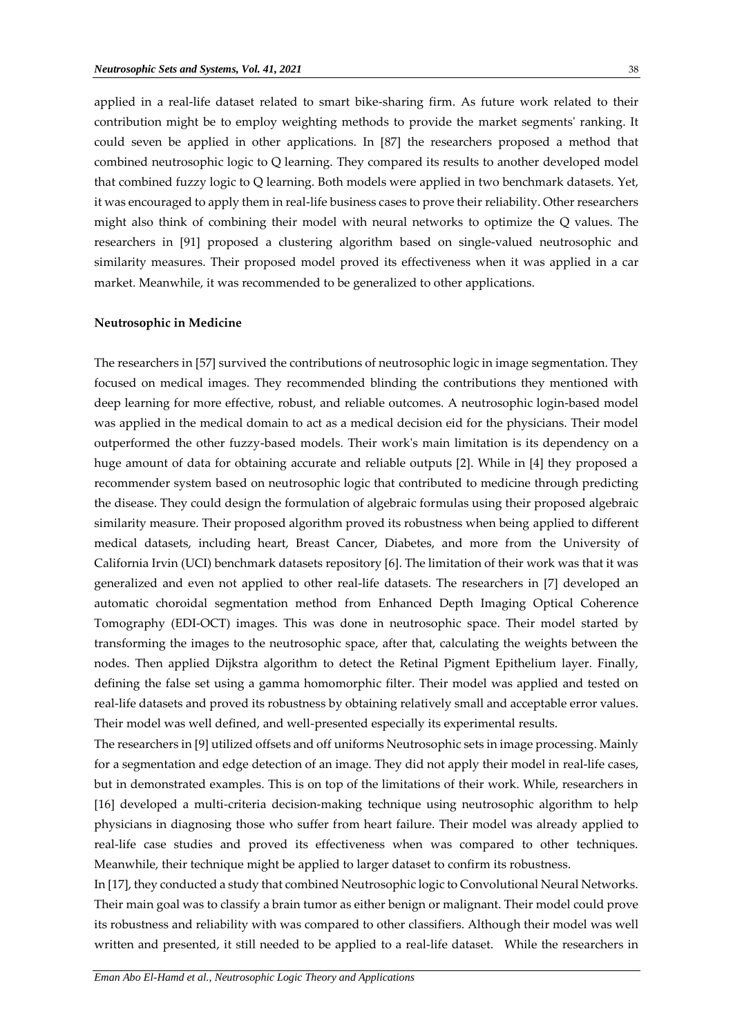applied in a real-life dataset related to smart bike-sharing firm. As future work related to their contribution might be to employ weighting methods to provide the market segments' ranking. It could seven be applied in other applications. In [87] the researchers proposed a method that combined neutrosophic logic to Q learning. They compared its results to another developed model that combined fuzzy logic to Q learning. Both models were applied in two benchmark datasets. Yet, it was encouraged to apply them in real-life business cases to prove their reliability. Other researchers might also think of combining their model with neural networks to optimize the Q values. The researchers in [91] proposed a clustering algorithm based on single-valued neutrosophic and similarity measures. Their proposed model proved its effectiveness when it was applied in a car market. Meanwhile, it was recommended to be generalized to other applications.

#### **Neutrosophic in Medicine**

The researchers in [57] survived the contributions of neutrosophic logic in image segmentation. They focused on medical images. They recommended blinding the contributions they mentioned with deep learning for more effective, robust, and reliable outcomes. A neutrosophic login-based model was applied in the medical domain to act as a medical decision eid for the physicians. Their model outperformed the other fuzzy-based models. Their work's main limitation is its dependency on a huge amount of data for obtaining accurate and reliable outputs [2]. While in [4] they proposed a recommender system based on neutrosophic logic that contributed to medicine through predicting the disease. They could design the formulation of algebraic formulas using their proposed algebraic similarity measure. Their proposed algorithm proved its robustness when being applied to different medical datasets, including heart, Breast Cancer, Diabetes, and more from the University of California Irvin (UCI) benchmark datasets repository [6]. The limitation of their work was that it was generalized and even not applied to other real-life datasets. The researchers in [7] developed an automatic choroidal segmentation method from Enhanced Depth Imaging Optical Coherence Tomography (EDI-OCT) images. This was done in neutrosophic space. Their model started by transforming the images to the neutrosophic space, after that, calculating the weights between the nodes. Then applied Dijkstra algorithm to detect the Retinal Pigment Epithelium layer. Finally, defining the false set using a gamma homomorphic filter. Their model was applied and tested on real-life datasets and proved its robustness by obtaining relatively small and acceptable error values. Their model was well defined, and well-presented especially its experimental results.

The researchers in [9] utilized offsets and off uniforms Neutrosophic sets in image processing. Mainly for a segmentation and edge detection of an image. They did not apply their model in real-life cases, but in demonstrated examples. This is on top of the limitations of their work. While, researchers in [16] developed a multi-criteria decision-making technique using neutrosophic algorithm to help physicians in diagnosing those who suffer from heart failure. Their model was already applied to real-life case studies and proved its effectiveness when was compared to other techniques. Meanwhile, their technique might be applied to larger dataset to confirm its robustness.

In [17], they conducted a study that combined Neutrosophic logic to Convolutional Neural Networks. Their main goal was to classify a brain tumor as either benign or malignant. Their model could prove its robustness and reliability with was compared to other classifiers. Although their model was well written and presented, it still needed to be applied to a real-life dataset. While the researchers in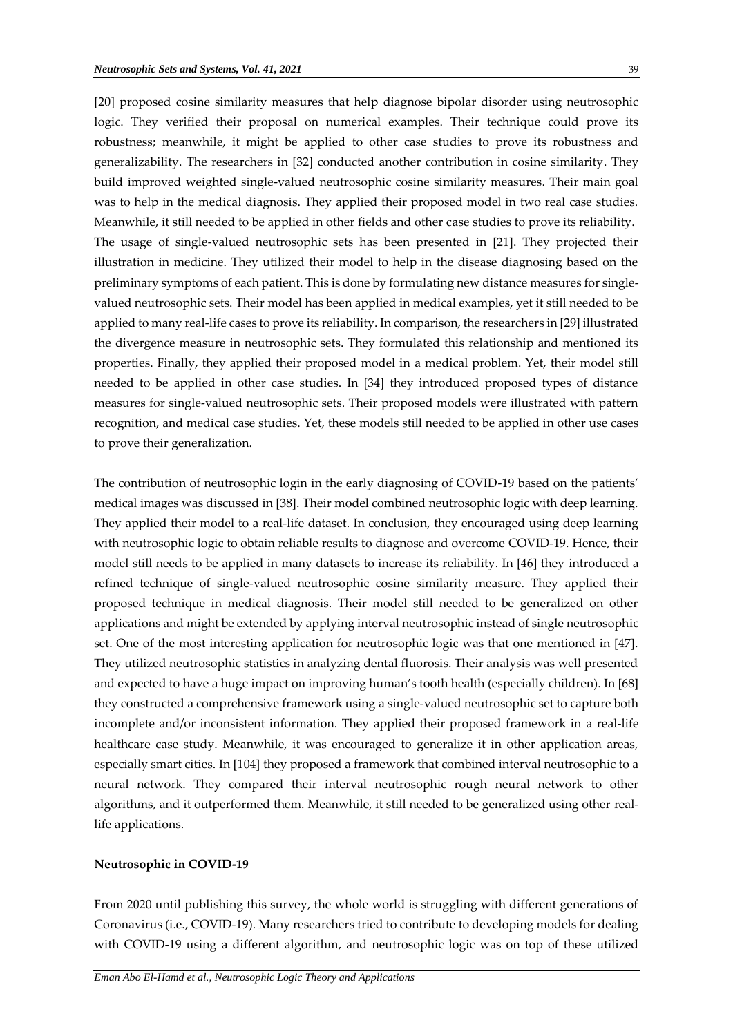[20] proposed cosine similarity measures that help diagnose bipolar disorder using neutrosophic logic. They verified their proposal on numerical examples. Their technique could prove its robustness; meanwhile, it might be applied to other case studies to prove its robustness and generalizability. The researchers in [32] conducted another contribution in cosine similarity. They build improved weighted single-valued neutrosophic cosine similarity measures. Their main goal was to help in the medical diagnosis. They applied their proposed model in two real case studies. Meanwhile, it still needed to be applied in other fields and other case studies to prove its reliability. The usage of single-valued neutrosophic sets has been presented in [21]. They projected their illustration in medicine. They utilized their model to help in the disease diagnosing based on the preliminary symptoms of each patient. This is done by formulating new distance measures for singlevalued neutrosophic sets. Their model has been applied in medical examples, yet it still needed to be applied to many real-life cases to prove its reliability. In comparison, the researchers in [29] illustrated the divergence measure in neutrosophic sets. They formulated this relationship and mentioned its properties. Finally, they applied their proposed model in a medical problem. Yet, their model still needed to be applied in other case studies. In [34] they introduced proposed types of distance measures for single-valued neutrosophic sets. Their proposed models were illustrated with pattern recognition, and medical case studies. Yet, these models still needed to be applied in other use cases to prove their generalization.

The contribution of neutrosophic login in the early diagnosing of COVID-19 based on the patients' medical images was discussed in [38]. Their model combined neutrosophic logic with deep learning. They applied their model to a real-life dataset. In conclusion, they encouraged using deep learning with neutrosophic logic to obtain reliable results to diagnose and overcome COVID-19. Hence, their model still needs to be applied in many datasets to increase its reliability. In [46] they introduced a refined technique of single-valued neutrosophic cosine similarity measure. They applied their proposed technique in medical diagnosis. Their model still needed to be generalized on other applications and might be extended by applying interval neutrosophic instead of single neutrosophic set. One of the most interesting application for neutrosophic logic was that one mentioned in [47]. They utilized neutrosophic statistics in analyzing dental fluorosis. Their analysis was well presented and expected to have a huge impact on improving human's tooth health (especially children). In [68] they constructed a comprehensive framework using a single-valued neutrosophic set to capture both incomplete and/or inconsistent information. They applied their proposed framework in a real-life healthcare case study. Meanwhile, it was encouraged to generalize it in other application areas, especially smart cities. In [104] they proposed a framework that combined interval neutrosophic to a neural network. They compared their interval neutrosophic rough neural network to other algorithms, and it outperformed them. Meanwhile, it still needed to be generalized using other reallife applications.

#### **Neutrosophic in COVID-19**

From 2020 until publishing this survey, the whole world is struggling with different generations of Coronavirus (i.e., COVID-19). Many researchers tried to contribute to developing models for dealing with COVID-19 using a different algorithm, and neutrosophic logic was on top of these utilized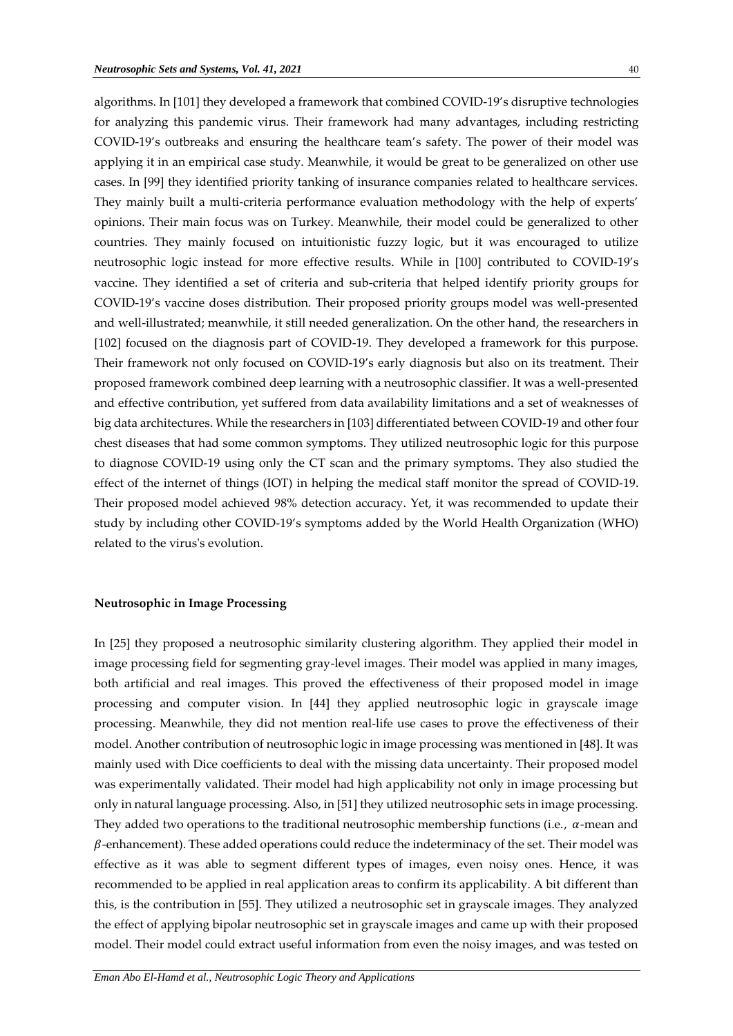algorithms. In [101] they developed a framework that combined COVID-19's disruptive technologies for analyzing this pandemic virus. Their framework had many advantages, including restricting COVID-19's outbreaks and ensuring the healthcare team's safety. The power of their model was applying it in an empirical case study. Meanwhile, it would be great to be generalized on other use cases. In [99] they identified priority tanking of insurance companies related to healthcare services. They mainly built a multi-criteria performance evaluation methodology with the help of experts' opinions. Their main focus was on Turkey. Meanwhile, their model could be generalized to other countries. They mainly focused on intuitionistic fuzzy logic, but it was encouraged to utilize neutrosophic logic instead for more effective results. While in [100] contributed to COVID-19's vaccine. They identified a set of criteria and sub-criteria that helped identify priority groups for COVID-19's vaccine doses distribution. Their proposed priority groups model was well-presented and well-illustrated; meanwhile, it still needed generalization. On the other hand, the researchers in [102] focused on the diagnosis part of COVID-19. They developed a framework for this purpose. Their framework not only focused on COVID-19's early diagnosis but also on its treatment. Their proposed framework combined deep learning with a neutrosophic classifier. It was a well-presented and effective contribution, yet suffered from data availability limitations and a set of weaknesses of big data architectures. While the researchers in [103] differentiated between COVID-19 and other four chest diseases that had some common symptoms. They utilized neutrosophic logic for this purpose to diagnose COVID-19 using only the CT scan and the primary symptoms. They also studied the effect of the internet of things (IOT) in helping the medical staff monitor the spread of COVID-19. Their proposed model achieved 98% detection accuracy. Yet, it was recommended to update their study by including other COVID-19's symptoms added by the World Health Organization (WHO) related to the virus's evolution.

## **Neutrosophic in Image Processing**

In [25] they proposed a neutrosophic similarity clustering algorithm. They applied their model in image processing field for segmenting gray-level images. Their model was applied in many images, both artificial and real images. This proved the effectiveness of their proposed model in image processing and computer vision. In [44] they applied neutrosophic logic in grayscale image processing. Meanwhile, they did not mention real-life use cases to prove the effectiveness of their model. Another contribution of neutrosophic logic in image processing was mentioned in [48]. It was mainly used with Dice coefficients to deal with the missing data uncertainty. Their proposed model was experimentally validated. Their model had high applicability not only in image processing but only in natural language processing. Also, in [51] they utilized neutrosophic sets in image processing. They added two operations to the traditional neutrosophic membership functions (i.e.,  $\alpha$ -mean and  $\beta$ -enhancement). These added operations could reduce the indeterminacy of the set. Their model was effective as it was able to segment different types of images, even noisy ones. Hence, it was recommended to be applied in real application areas to confirm its applicability. A bit different than this, is the contribution in [55]. They utilized a neutrosophic set in grayscale images. They analyzed the effect of applying bipolar neutrosophic set in grayscale images and came up with their proposed model. Their model could extract useful information from even the noisy images, and was tested on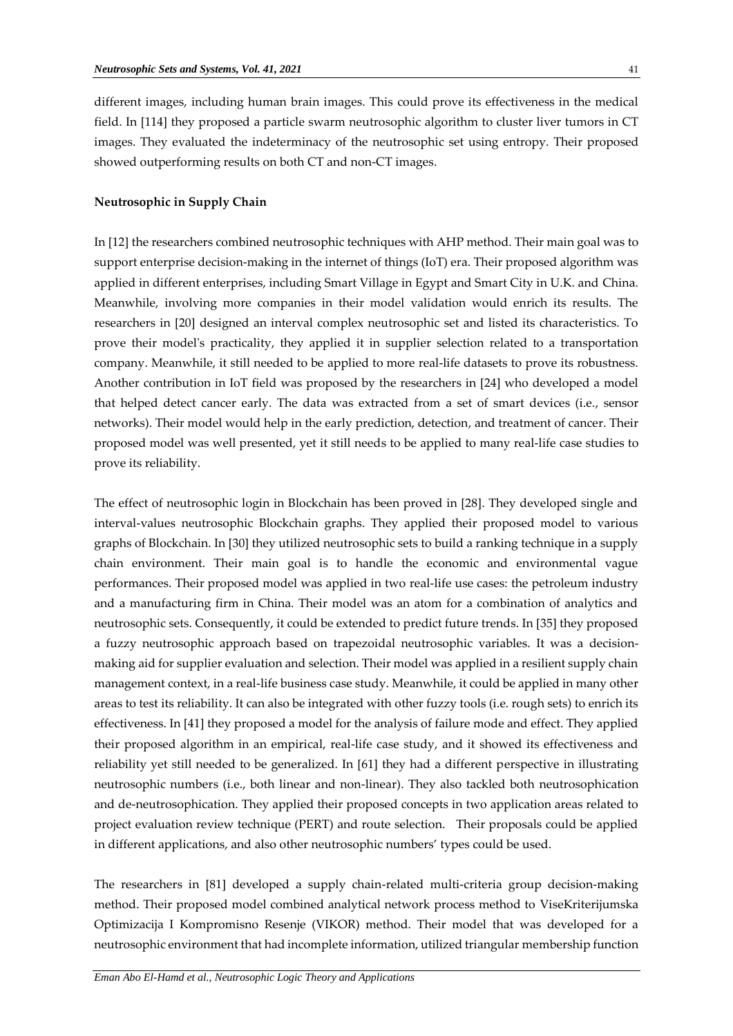different images, including human brain images. This could prove its effectiveness in the medical field. In [114] they proposed a particle swarm neutrosophic algorithm to cluster liver tumors in CT images. They evaluated the indeterminacy of the neutrosophic set using entropy. Their proposed showed outperforming results on both CT and non-CT images.

## **Neutrosophic in Supply Chain**

In [12] the researchers combined neutrosophic techniques with AHP method. Their main goal was to support enterprise decision-making in the internet of things (IoT) era. Their proposed algorithm was applied in different enterprises, including Smart Village in Egypt and Smart City in U.K. and China. Meanwhile, involving more companies in their model validation would enrich its results. The researchers in [20] designed an interval complex neutrosophic set and listed its characteristics. To prove their model's practicality, they applied it in supplier selection related to a transportation company. Meanwhile, it still needed to be applied to more real-life datasets to prove its robustness. Another contribution in IoT field was proposed by the researchers in [24] who developed a model that helped detect cancer early. The data was extracted from a set of smart devices (i.e., sensor networks). Their model would help in the early prediction, detection, and treatment of cancer. Their proposed model was well presented, yet it still needs to be applied to many real-life case studies to prove its reliability.

The effect of neutrosophic login in Blockchain has been proved in [28]. They developed single and interval-values neutrosophic Blockchain graphs. They applied their proposed model to various graphs of Blockchain. In [30] they utilized neutrosophic sets to build a ranking technique in a supply chain environment. Their main goal is to handle the economic and environmental vague performances. Their proposed model was applied in two real-life use cases: the petroleum industry and a manufacturing firm in China. Their model was an atom for a combination of analytics and neutrosophic sets. Consequently, it could be extended to predict future trends. In [35] they proposed a fuzzy neutrosophic approach based on trapezoidal neutrosophic variables. It was a decisionmaking aid for supplier evaluation and selection. Their model was applied in a resilient supply chain management context, in a real-life business case study. Meanwhile, it could be applied in many other areas to test its reliability. It can also be integrated with other fuzzy tools (i.e. rough sets) to enrich its effectiveness. In [41] they proposed a model for the analysis of failure mode and effect. They applied their proposed algorithm in an empirical, real-life case study, and it showed its effectiveness and reliability yet still needed to be generalized. In [61] they had a different perspective in illustrating neutrosophic numbers (i.e., both linear and non-linear). They also tackled both neutrosophication and de-neutrosophication. They applied their proposed concepts in two application areas related to project evaluation review technique (PERT) and route selection. Their proposals could be applied in different applications, and also other neutrosophic numbers' types could be used.

The researchers in [81] developed a supply chain-related multi-criteria group decision-making method. Their proposed model combined analytical network process method to ViseKriterijumska Optimizacija I Kompromisno Resenje (VIKOR) method. Their model that was developed for a neutrosophic environment that had incomplete information, utilized triangular membership function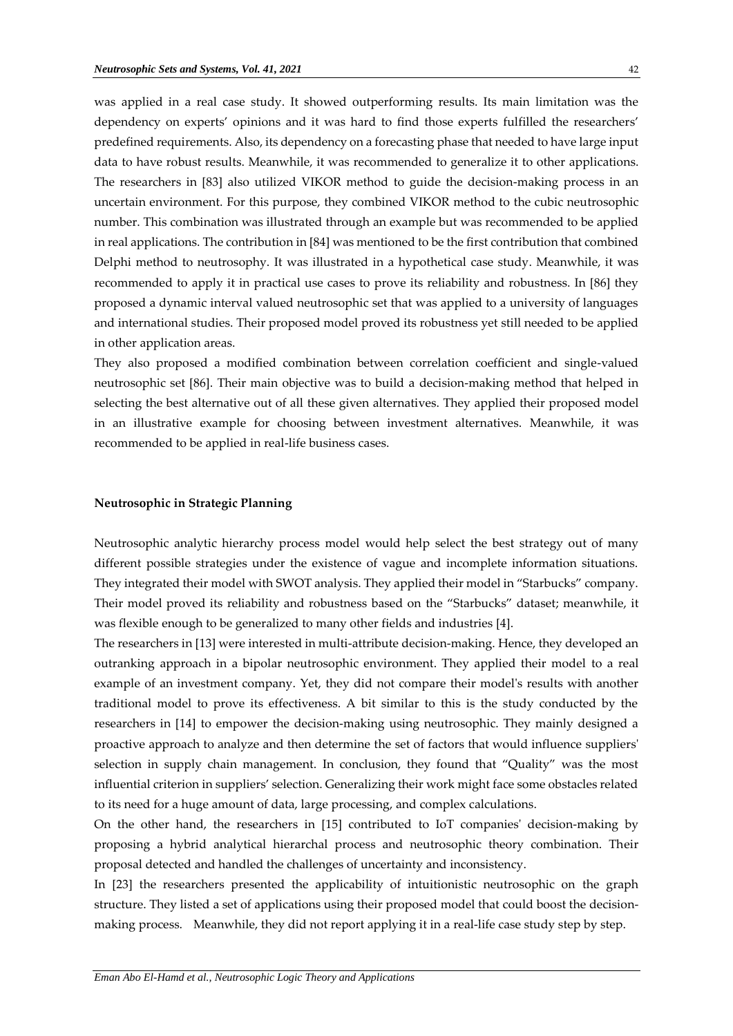was applied in a real case study. It showed outperforming results. Its main limitation was the dependency on experts' opinions and it was hard to find those experts fulfilled the researchers' predefined requirements. Also, its dependency on a forecasting phase that needed to have large input data to have robust results. Meanwhile, it was recommended to generalize it to other applications. The researchers in [83] also utilized VIKOR method to guide the decision-making process in an uncertain environment. For this purpose, they combined VIKOR method to the cubic neutrosophic number. This combination was illustrated through an example but was recommended to be applied in real applications. The contribution in [84] was mentioned to be the first contribution that combined Delphi method to neutrosophy. It was illustrated in a hypothetical case study. Meanwhile, it was recommended to apply it in practical use cases to prove its reliability and robustness. In [86] they proposed a dynamic interval valued neutrosophic set that was applied to a university of languages and international studies. Their proposed model proved its robustness yet still needed to be applied in other application areas.

They also proposed a modified combination between correlation coefficient and single-valued neutrosophic set [86]. Their main objective was to build a decision-making method that helped in selecting the best alternative out of all these given alternatives. They applied their proposed model in an illustrative example for choosing between investment alternatives. Meanwhile, it was recommended to be applied in real-life business cases.

## **Neutrosophic in Strategic Planning**

Neutrosophic analytic hierarchy process model would help select the best strategy out of many different possible strategies under the existence of vague and incomplete information situations. They integrated their model with SWOT analysis. They applied their model in "Starbucks" company. Their model proved its reliability and robustness based on the "Starbucks" dataset; meanwhile, it was flexible enough to be generalized to many other fields and industries [4].

The researchers in [13] were interested in multi-attribute decision-making. Hence, they developed an outranking approach in a bipolar neutrosophic environment. They applied their model to a real example of an investment company. Yet, they did not compare their model's results with another traditional model to prove its effectiveness. A bit similar to this is the study conducted by the researchers in [14] to empower the decision-making using neutrosophic. They mainly designed a proactive approach to analyze and then determine the set of factors that would influence suppliers' selection in supply chain management. In conclusion, they found that "Quality" was the most influential criterion in suppliers' selection. Generalizing their work might face some obstacles related to its need for a huge amount of data, large processing, and complex calculations.

On the other hand, the researchers in [15] contributed to IoT companies' decision-making by proposing a hybrid analytical hierarchal process and neutrosophic theory combination. Their proposal detected and handled the challenges of uncertainty and inconsistency.

In [23] the researchers presented the applicability of intuitionistic neutrosophic on the graph structure. They listed a set of applications using their proposed model that could boost the decisionmaking process. Meanwhile, they did not report applying it in a real-life case study step by step.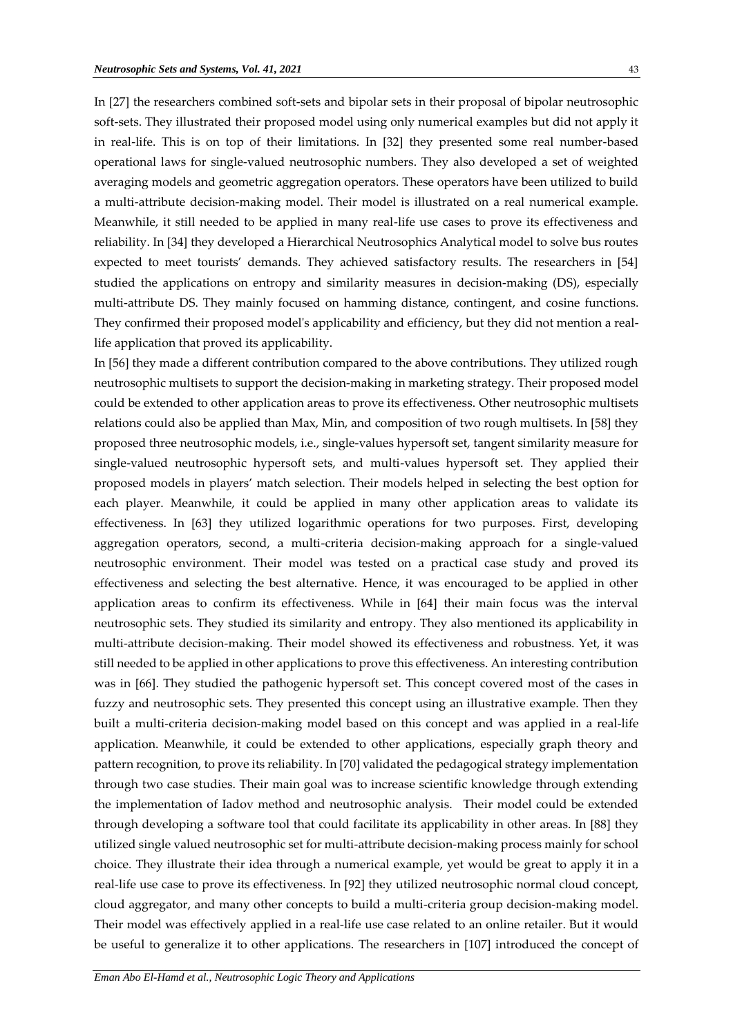In [27] the researchers combined soft-sets and bipolar sets in their proposal of bipolar neutrosophic soft-sets. They illustrated their proposed model using only numerical examples but did not apply it in real-life. This is on top of their limitations. In [32] they presented some real number-based operational laws for single-valued neutrosophic numbers. They also developed a set of weighted averaging models and geometric aggregation operators. These operators have been utilized to build a multi-attribute decision-making model. Their model is illustrated on a real numerical example. Meanwhile, it still needed to be applied in many real-life use cases to prove its effectiveness and reliability. In [34] they developed a Hierarchical Neutrosophics Analytical model to solve bus routes expected to meet tourists' demands. They achieved satisfactory results. The researchers in [54] studied the applications on entropy and similarity measures in decision-making (DS), especially multi-attribute DS. They mainly focused on hamming distance, contingent, and cosine functions. They confirmed their proposed model's applicability and efficiency, but they did not mention a reallife application that proved its applicability.

In [56] they made a different contribution compared to the above contributions. They utilized rough neutrosophic multisets to support the decision-making in marketing strategy. Their proposed model could be extended to other application areas to prove its effectiveness. Other neutrosophic multisets relations could also be applied than Max, Min, and composition of two rough multisets. In [58] they proposed three neutrosophic models, i.e., single-values hypersoft set, tangent similarity measure for single-valued neutrosophic hypersoft sets, and multi-values hypersoft set. They applied their proposed models in players' match selection. Their models helped in selecting the best option for each player. Meanwhile, it could be applied in many other application areas to validate its effectiveness. In [63] they utilized logarithmic operations for two purposes. First, developing aggregation operators, second, a multi-criteria decision-making approach for a single-valued neutrosophic environment. Their model was tested on a practical case study and proved its effectiveness and selecting the best alternative. Hence, it was encouraged to be applied in other application areas to confirm its effectiveness. While in [64] their main focus was the interval neutrosophic sets. They studied its similarity and entropy. They also mentioned its applicability in multi-attribute decision-making. Their model showed its effectiveness and robustness. Yet, it was still needed to be applied in other applications to prove this effectiveness. An interesting contribution was in [66]. They studied the pathogenic hypersoft set. This concept covered most of the cases in fuzzy and neutrosophic sets. They presented this concept using an illustrative example. Then they built a multi-criteria decision-making model based on this concept and was applied in a real-life application. Meanwhile, it could be extended to other applications, especially graph theory and pattern recognition, to prove its reliability. In [70] validated the pedagogical strategy implementation through two case studies. Their main goal was to increase scientific knowledge through extending the implementation of Iadov method and neutrosophic analysis. Their model could be extended through developing a software tool that could facilitate its applicability in other areas. In [88] they utilized single valued neutrosophic set for multi-attribute decision-making process mainly for school choice. They illustrate their idea through a numerical example, yet would be great to apply it in a real-life use case to prove its effectiveness. In [92] they utilized neutrosophic normal cloud concept, cloud aggregator, and many other concepts to build a multi-criteria group decision-making model. Their model was effectively applied in a real-life use case related to an online retailer. But it would be useful to generalize it to other applications. The researchers in [107] introduced the concept of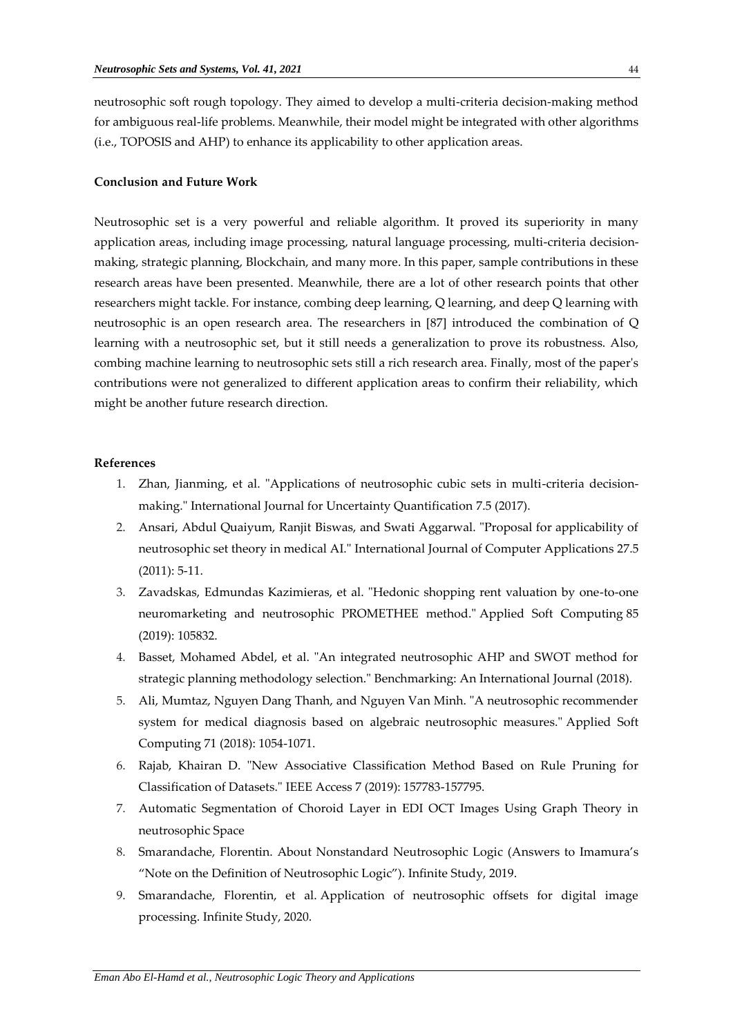neutrosophic soft rough topology. They aimed to develop a multi-criteria decision-making method for ambiguous real-life problems. Meanwhile, their model might be integrated with other algorithms (i.e., TOPOSIS and AHP) to enhance its applicability to other application areas.

## **Conclusion and Future Work**

Neutrosophic set is a very powerful and reliable algorithm. It proved its superiority in many application areas, including image processing, natural language processing, multi-criteria decisionmaking, strategic planning, Blockchain, and many more. In this paper, sample contributions in these research areas have been presented. Meanwhile, there are a lot of other research points that other researchers might tackle. For instance, combing deep learning, Q learning, and deep Q learning with neutrosophic is an open research area. The researchers in [87] introduced the combination of Q learning with a neutrosophic set, but it still needs a generalization to prove its robustness. Also, combing machine learning to neutrosophic sets still a rich research area. Finally, most of the paper's contributions were not generalized to different application areas to confirm their reliability, which might be another future research direction.

# **References**

- 1. Zhan, Jianming, et al. "Applications of neutrosophic cubic sets in multi-criteria decisionmaking." International Journal for Uncertainty Quantification 7.5 (2017).
- 2. Ansari, Abdul Quaiyum, Ranjit Biswas, and Swati Aggarwal. "Proposal for applicability of neutrosophic set theory in medical AI." International Journal of Computer Applications 27.5 (2011): 5-11.
- 3. Zavadskas, Edmundas Kazimieras, et al. "Hedonic shopping rent valuation by one-to-one neuromarketing and neutrosophic PROMETHEE method." Applied Soft Computing 85 (2019): 105832.
- 4. Basset, Mohamed Abdel, et al. "An integrated neutrosophic AHP and SWOT method for strategic planning methodology selection." Benchmarking: An International Journal (2018).
- 5. Ali, Mumtaz, Nguyen Dang Thanh, and Nguyen Van Minh. "A neutrosophic recommender system for medical diagnosis based on algebraic neutrosophic measures." Applied Soft Computing 71 (2018): 1054-1071.
- 6. Rajab, Khairan D. "New Associative Classification Method Based on Rule Pruning for Classification of Datasets." IEEE Access 7 (2019): 157783-157795.
- 7. Automatic Segmentation of Choroid Layer in EDI OCT Images Using Graph Theory in neutrosophic Space
- 8. Smarandache, Florentin. About Nonstandard Neutrosophic Logic (Answers to Imamura's "Note on the Definition of Neutrosophic Logic"). Infinite Study, 2019.
- 9. Smarandache, Florentin, et al. Application of neutrosophic offsets for digital image processing. Infinite Study, 2020.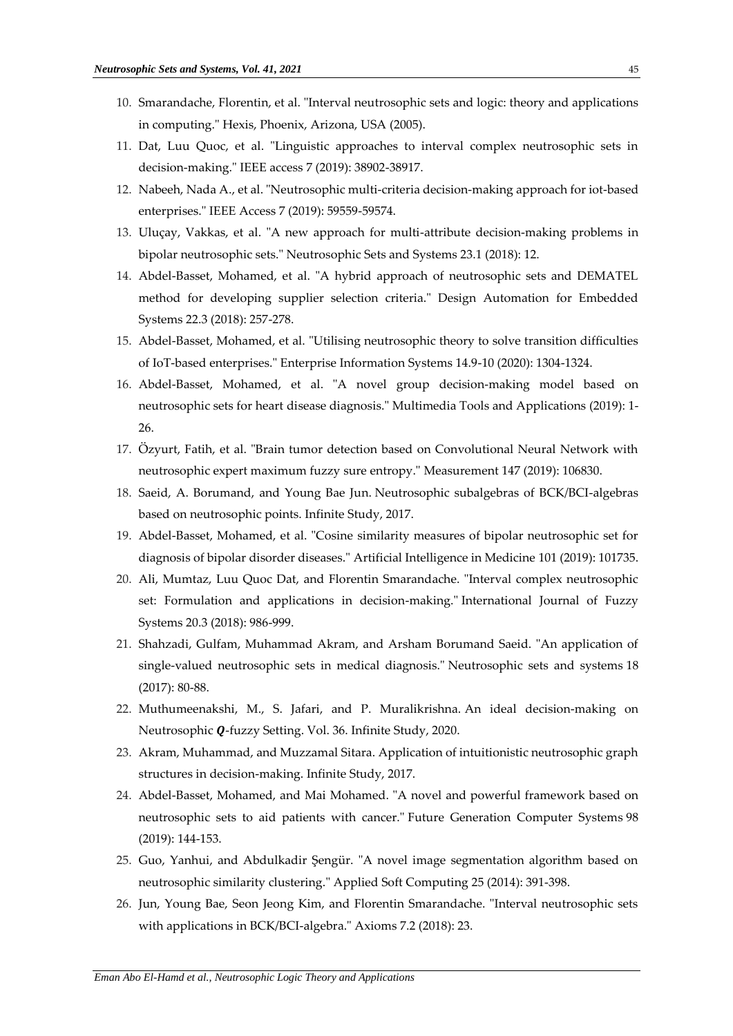- 10. Smarandache, Florentin, et al. "Interval neutrosophic sets and logic: theory and applications in computing." Hexis, Phoenix, Arizona, USA (2005).
- 11. Dat, Luu Quoc, et al. "Linguistic approaches to interval complex neutrosophic sets in decision-making." IEEE access 7 (2019): 38902-38917.
- 12. Nabeeh, Nada A., et al. "Neutrosophic multi-criteria decision-making approach for iot-based enterprises." IEEE Access 7 (2019): 59559-59574.
- 13. Uluçay, Vakkas, et al. "A new approach for multi-attribute decision-making problems in bipolar neutrosophic sets." Neutrosophic Sets and Systems 23.1 (2018): 12.
- 14. Abdel-Basset, Mohamed, et al. "A hybrid approach of neutrosophic sets and DEMATEL method for developing supplier selection criteria." Design Automation for Embedded Systems 22.3 (2018): 257-278.
- 15. Abdel-Basset, Mohamed, et al. "Utilising neutrosophic theory to solve transition difficulties of IoT-based enterprises." Enterprise Information Systems 14.9-10 (2020): 1304-1324.
- 16. Abdel-Basset, Mohamed, et al. "A novel group decision-making model based on neutrosophic sets for heart disease diagnosis." Multimedia Tools and Applications (2019): 1- 26.
- 17. Özyurt, Fatih, et al. "Brain tumor detection based on Convolutional Neural Network with neutrosophic expert maximum fuzzy sure entropy." Measurement 147 (2019): 106830.
- 18. Saeid, A. Borumand, and Young Bae Jun. Neutrosophic subalgebras of BCK/BCI-algebras based on neutrosophic points. Infinite Study, 2017.
- 19. Abdel-Basset, Mohamed, et al. "Cosine similarity measures of bipolar neutrosophic set for diagnosis of bipolar disorder diseases." Artificial Intelligence in Medicine 101 (2019): 101735.
- 20. Ali, Mumtaz, Luu Quoc Dat, and Florentin Smarandache. "Interval complex neutrosophic set: Formulation and applications in decision-making." International Journal of Fuzzy Systems 20.3 (2018): 986-999.
- 21. Shahzadi, Gulfam, Muhammad Akram, and Arsham Borumand Saeid. "An application of single-valued neutrosophic sets in medical diagnosis." Neutrosophic sets and systems 18 (2017): 80-88.
- 22. Muthumeenakshi, M., S. Jafari, and P. Muralikrishna. An ideal decision-making on Neutrosophic Q-fuzzy Setting. Vol. 36. Infinite Study, 2020.
- 23. Akram, Muhammad, and Muzzamal Sitara. Application of intuitionistic neutrosophic graph structures in decision-making. Infinite Study, 2017.
- 24. Abdel-Basset, Mohamed, and Mai Mohamed. "A novel and powerful framework based on neutrosophic sets to aid patients with cancer." Future Generation Computer Systems 98 (2019): 144-153.
- 25. Guo, Yanhui, and Abdulkadir Şengür. "A novel image segmentation algorithm based on neutrosophic similarity clustering." Applied Soft Computing 25 (2014): 391-398.
- 26. Jun, Young Bae, Seon Jeong Kim, and Florentin Smarandache. "Interval neutrosophic sets with applications in BCK/BCI-algebra." Axioms 7.2 (2018): 23.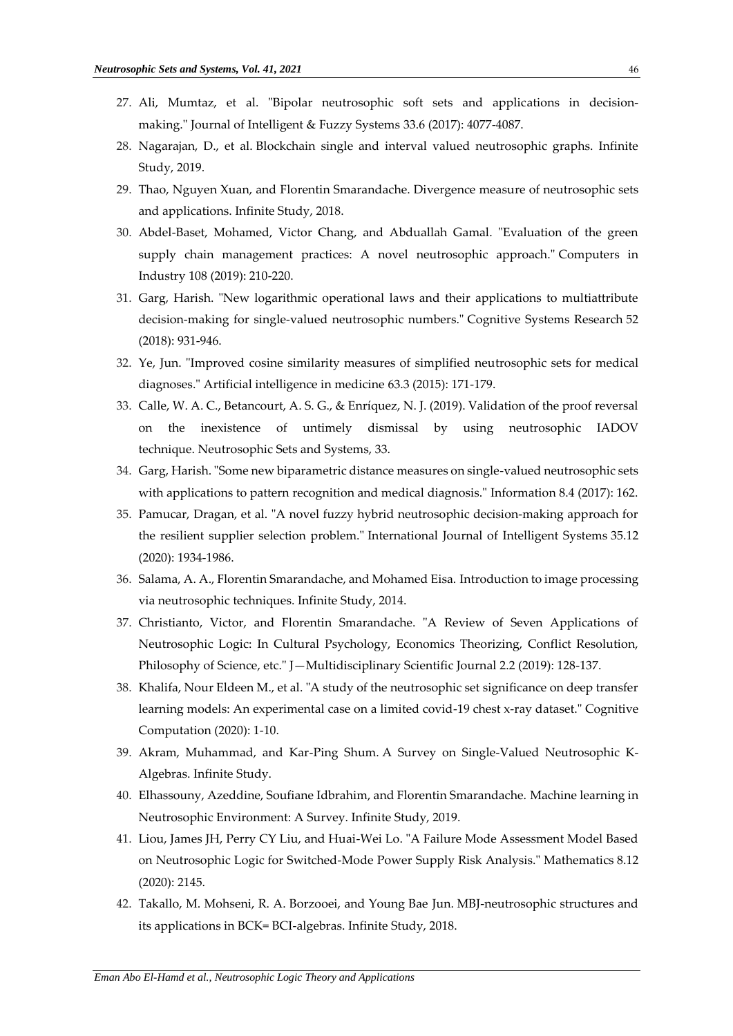- 27. Ali, Mumtaz, et al. "Bipolar neutrosophic soft sets and applications in decisionmaking." Journal of Intelligent & Fuzzy Systems 33.6 (2017): 4077-4087.
- 28. Nagarajan, D., et al. Blockchain single and interval valued neutrosophic graphs. Infinite Study, 2019.
- 29. Thao, Nguyen Xuan, and Florentin Smarandache. Divergence measure of neutrosophic sets and applications. Infinite Study, 2018.
- 30. Abdel-Baset, Mohamed, Victor Chang, and Abduallah Gamal. "Evaluation of the green supply chain management practices: A novel neutrosophic approach." Computers in Industry 108 (2019): 210-220.
- 31. Garg, Harish. "New logarithmic operational laws and their applications to multiattribute decision-making for single-valued neutrosophic numbers." Cognitive Systems Research 52 (2018): 931-946.
- 32. Ye, Jun. "Improved cosine similarity measures of simplified neutrosophic sets for medical diagnoses." Artificial intelligence in medicine 63.3 (2015): 171-179.
- 33. Calle, W. A. C., Betancourt, A. S. G., & Enríquez, N. J. (2019). Validation of the proof reversal on the inexistence of untimely dismissal by using neutrosophic IADOV technique. Neutrosophic Sets and Systems, 33.
- 34. Garg, Harish. "Some new biparametric distance measures on single-valued neutrosophic sets with applications to pattern recognition and medical diagnosis." Information 8.4 (2017): 162.
- 35. Pamucar, Dragan, et al. "A novel fuzzy hybrid neutrosophic decision‐making approach for the resilient supplier selection problem." International Journal of Intelligent Systems 35.12 (2020): 1934-1986.
- 36. Salama, A. A., Florentin Smarandache, and Mohamed Eisa. Introduction to image processing via neutrosophic techniques. Infinite Study, 2014.
- 37. Christianto, Victor, and Florentin Smarandache. "A Review of Seven Applications of Neutrosophic Logic: In Cultural Psychology, Economics Theorizing, Conflict Resolution, Philosophy of Science, etc." J—Multidisciplinary Scientific Journal 2.2 (2019): 128-137.
- 38. Khalifa, Nour Eldeen M., et al. "A study of the neutrosophic set significance on deep transfer learning models: An experimental case on a limited covid-19 chest x-ray dataset." Cognitive Computation (2020): 1-10.
- 39. Akram, Muhammad, and Kar-Ping Shum. A Survey on Single-Valued Neutrosophic K-Algebras. Infinite Study.
- 40. Elhassouny, Azeddine, Soufiane Idbrahim, and Florentin Smarandache. Machine learning in Neutrosophic Environment: A Survey. Infinite Study, 2019.
- 41. Liou, James JH, Perry CY Liu, and Huai-Wei Lo. "A Failure Mode Assessment Model Based on Neutrosophic Logic for Switched-Mode Power Supply Risk Analysis." Mathematics 8.12 (2020): 2145.
- 42. Takallo, M. Mohseni, R. A. Borzooei, and Young Bae Jun. MBJ-neutrosophic structures and its applications in BCK= BCI-algebras. Infinite Study, 2018.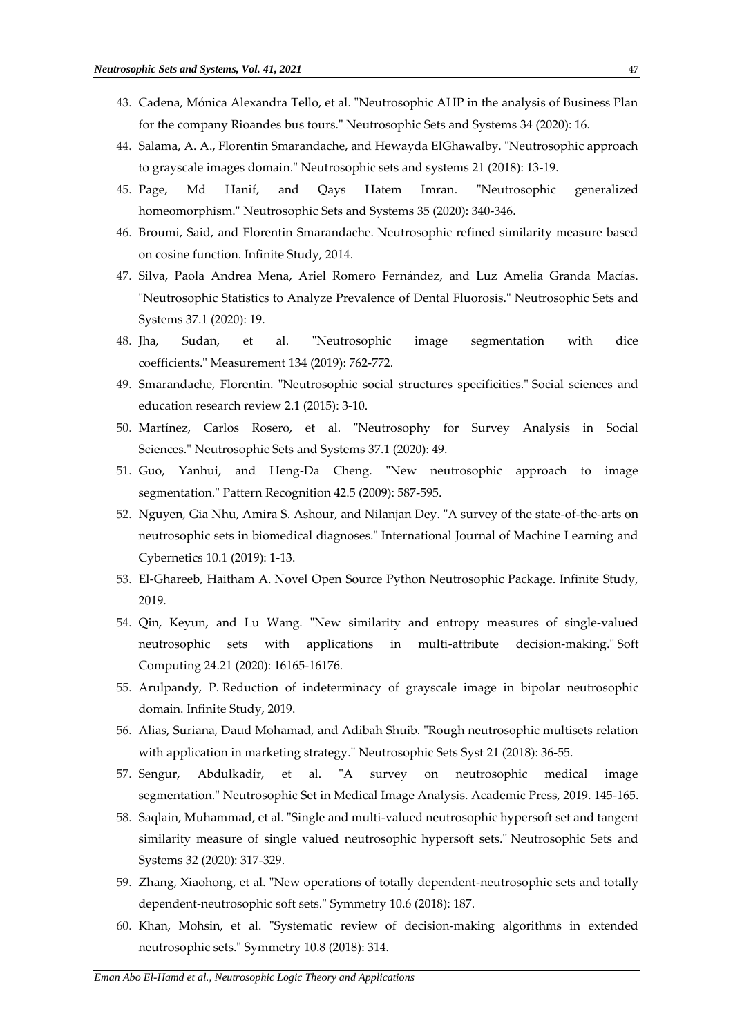- 43. Cadena, Mónica Alexandra Tello, et al. "Neutrosophic AHP in the analysis of Business Plan for the company Rioandes bus tours." Neutrosophic Sets and Systems 34 (2020): 16.
- 44. Salama, A. A., Florentin Smarandache, and Hewayda ElGhawalby. "Neutrosophic approach to grayscale images domain." Neutrosophic sets and systems 21 (2018): 13-19.
- 45. Page, Md Hanif, and Qays Hatem Imran. "Neutrosophic generalized homeomorphism." Neutrosophic Sets and Systems 35 (2020): 340-346.
- 46. Broumi, Said, and Florentin Smarandache. Neutrosophic refined similarity measure based on cosine function. Infinite Study, 2014.
- 47. Silva, Paola Andrea Mena, Ariel Romero Fernández, and Luz Amelia Granda Macías. "Neutrosophic Statistics to Analyze Prevalence of Dental Fluorosis." Neutrosophic Sets and Systems 37.1 (2020): 19.
- 48. Jha, Sudan, et al. "Neutrosophic image segmentation with dice coefficients." Measurement 134 (2019): 762-772.
- 49. Smarandache, Florentin. "Neutrosophic social structures specificities." Social sciences and education research review 2.1 (2015): 3-10.
- 50. Martínez, Carlos Rosero, et al. "Neutrosophy for Survey Analysis in Social Sciences." Neutrosophic Sets and Systems 37.1 (2020): 49.
- 51. Guo, Yanhui, and Heng-Da Cheng. "New neutrosophic approach to image segmentation." Pattern Recognition 42.5 (2009): 587-595.
- 52. Nguyen, Gia Nhu, Amira S. Ashour, and Nilanjan Dey. "A survey of the state-of-the-arts on neutrosophic sets in biomedical diagnoses." International Journal of Machine Learning and Cybernetics 10.1 (2019): 1-13.
- 53. El-Ghareeb, Haitham A. Novel Open Source Python Neutrosophic Package. Infinite Study, 2019.
- 54. Qin, Keyun, and Lu Wang. "New similarity and entropy measures of single-valued neutrosophic sets with applications in multi-attribute decision-making." Soft Computing 24.21 (2020): 16165-16176.
- 55. Arulpandy, P. Reduction of indeterminacy of grayscale image in bipolar neutrosophic domain. Infinite Study, 2019.
- 56. Alias, Suriana, Daud Mohamad, and Adibah Shuib. "Rough neutrosophic multisets relation with application in marketing strategy." Neutrosophic Sets Syst 21 (2018): 36-55.
- 57. Sengur, Abdulkadir, et al. "A survey on neutrosophic medical image segmentation." Neutrosophic Set in Medical Image Analysis. Academic Press, 2019. 145-165.
- 58. Saqlain, Muhammad, et al. "Single and multi-valued neutrosophic hypersoft set and tangent similarity measure of single valued neutrosophic hypersoft sets." Neutrosophic Sets and Systems 32 (2020): 317-329.
- 59. Zhang, Xiaohong, et al. "New operations of totally dependent-neutrosophic sets and totally dependent-neutrosophic soft sets." Symmetry 10.6 (2018): 187.
- 60. Khan, Mohsin, et al. "Systematic review of decision-making algorithms in extended neutrosophic sets." Symmetry 10.8 (2018): 314.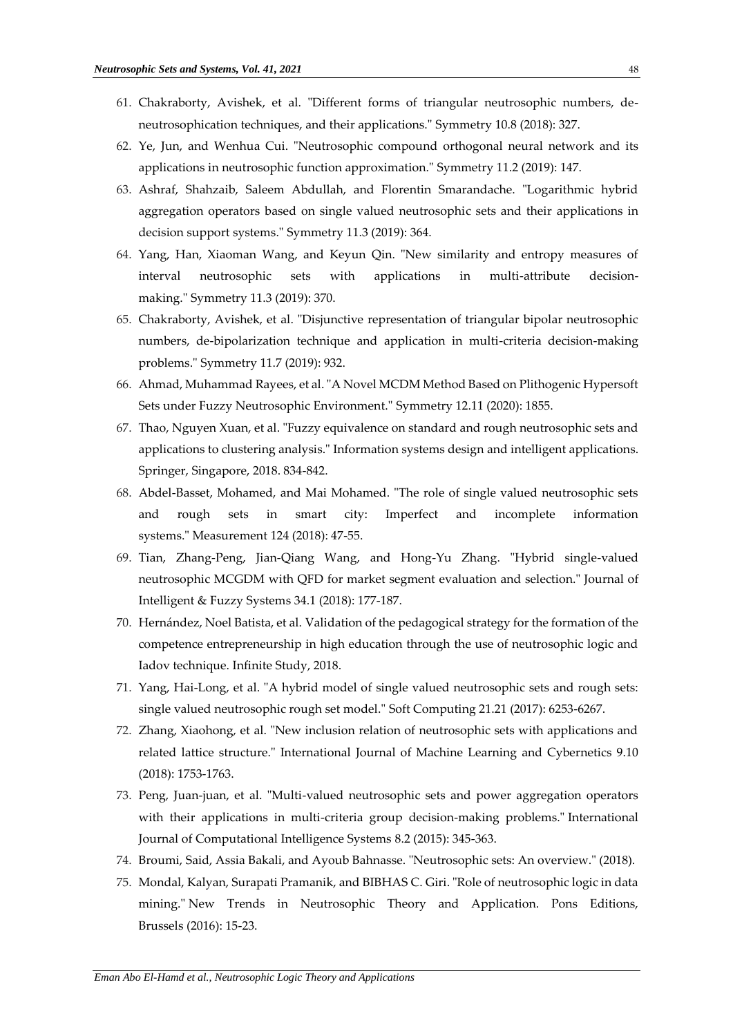- 61. Chakraborty, Avishek, et al. "Different forms of triangular neutrosophic numbers, deneutrosophication techniques, and their applications." Symmetry 10.8 (2018): 327.
- 62. Ye, Jun, and Wenhua Cui. "Neutrosophic compound orthogonal neural network and its applications in neutrosophic function approximation." Symmetry 11.2 (2019): 147.
- 63. Ashraf, Shahzaib, Saleem Abdullah, and Florentin Smarandache. "Logarithmic hybrid aggregation operators based on single valued neutrosophic sets and their applications in decision support systems." Symmetry 11.3 (2019): 364.
- 64. Yang, Han, Xiaoman Wang, and Keyun Qin. "New similarity and entropy measures of interval neutrosophic sets with applications in multi-attribute decisionmaking." Symmetry 11.3 (2019): 370.
- 65. Chakraborty, Avishek, et al. "Disjunctive representation of triangular bipolar neutrosophic numbers, de-bipolarization technique and application in multi-criteria decision-making problems." Symmetry 11.7 (2019): 932.
- 66. Ahmad, Muhammad Rayees, et al. "A Novel MCDM Method Based on Plithogenic Hypersoft Sets under Fuzzy Neutrosophic Environment." Symmetry 12.11 (2020): 1855.
- 67. Thao, Nguyen Xuan, et al. "Fuzzy equivalence on standard and rough neutrosophic sets and applications to clustering analysis." Information systems design and intelligent applications. Springer, Singapore, 2018. 834-842.
- 68. Abdel-Basset, Mohamed, and Mai Mohamed. "The role of single valued neutrosophic sets and rough sets in smart city: Imperfect and incomplete information systems." Measurement 124 (2018): 47-55.
- 69. Tian, Zhang-Peng, Jian-Qiang Wang, and Hong-Yu Zhang. "Hybrid single-valued neutrosophic MCGDM with QFD for market segment evaluation and selection." Journal of Intelligent & Fuzzy Systems 34.1 (2018): 177-187.
- 70. Hernández, Noel Batista, et al. Validation of the pedagogical strategy for the formation of the competence entrepreneurship in high education through the use of neutrosophic logic and Iadov technique. Infinite Study, 2018.
- 71. Yang, Hai-Long, et al. "A hybrid model of single valued neutrosophic sets and rough sets: single valued neutrosophic rough set model." Soft Computing 21.21 (2017): 6253-6267.
- 72. Zhang, Xiaohong, et al. "New inclusion relation of neutrosophic sets with applications and related lattice structure." International Journal of Machine Learning and Cybernetics 9.10 (2018): 1753-1763.
- 73. Peng, Juan-juan, et al. "Multi-valued neutrosophic sets and power aggregation operators with their applications in multi-criteria group decision-making problems." International Journal of Computational Intelligence Systems 8.2 (2015): 345-363.
- 74. Broumi, Said, Assia Bakali, and Ayoub Bahnasse. "Neutrosophic sets: An overview." (2018).
- 75. Mondal, Kalyan, Surapati Pramanik, and BIBHAS C. Giri. "Role of neutrosophic logic in data mining." New Trends in Neutrosophic Theory and Application. Pons Editions, Brussels (2016): 15-23.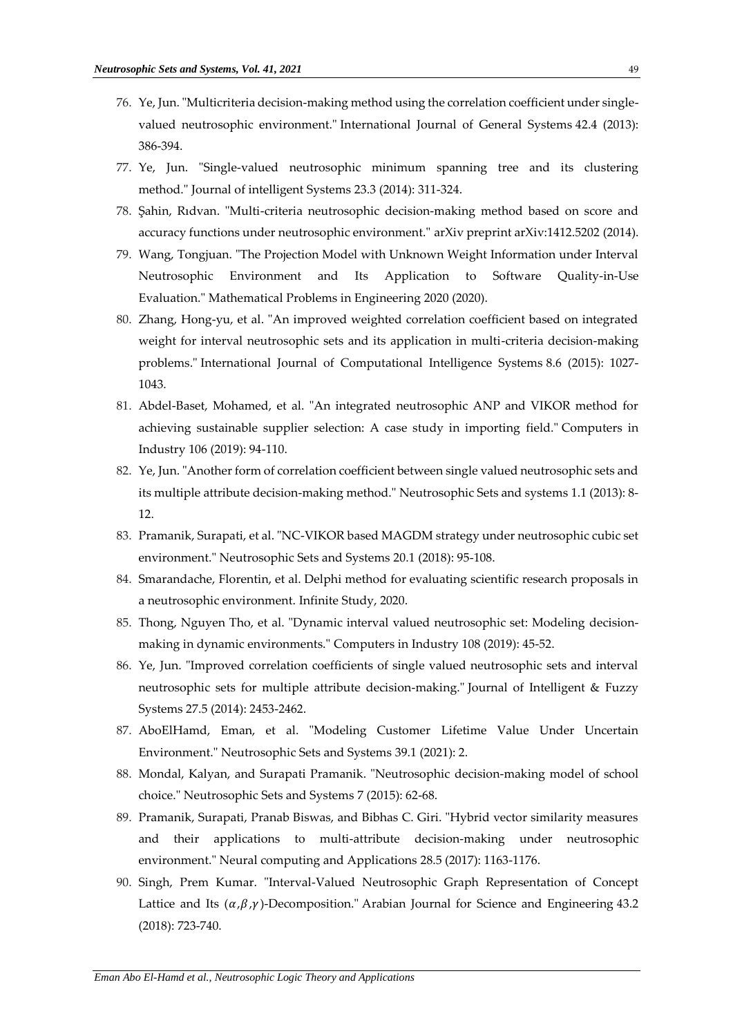- 76. Ye, Jun. "Multicriteria decision-making method using the correlation coefficient under singlevalued neutrosophic environment." International Journal of General Systems 42.4 (2013): 386-394.
- 77. Ye, Jun. "Single-valued neutrosophic minimum spanning tree and its clustering method." Journal of intelligent Systems 23.3 (2014): 311-324.
- 78. Şahin, Rıdvan. "Multi-criteria neutrosophic decision-making method based on score and accuracy functions under neutrosophic environment." arXiv preprint arXiv:1412.5202 (2014).
- 79. Wang, Tongjuan. "The Projection Model with Unknown Weight Information under Interval Neutrosophic Environment and Its Application to Software Quality-in-Use Evaluation." Mathematical Problems in Engineering 2020 (2020).
- 80. Zhang, Hong-yu, et al. "An improved weighted correlation coefficient based on integrated weight for interval neutrosophic sets and its application in multi-criteria decision-making problems." International Journal of Computational Intelligence Systems 8.6 (2015): 1027- 1043.
- 81. Abdel-Baset, Mohamed, et al. "An integrated neutrosophic ANP and VIKOR method for achieving sustainable supplier selection: A case study in importing field." Computers in Industry 106 (2019): 94-110.
- 82. Ye, Jun. "Another form of correlation coefficient between single valued neutrosophic sets and its multiple attribute decision-making method." Neutrosophic Sets and systems 1.1 (2013): 8- 12.
- 83. Pramanik, Surapati, et al. "NC-VIKOR based MAGDM strategy under neutrosophic cubic set environment." Neutrosophic Sets and Systems 20.1 (2018): 95-108.
- 84. Smarandache, Florentin, et al. Delphi method for evaluating scientific research proposals in a neutrosophic environment. Infinite Study, 2020.
- 85. Thong, Nguyen Tho, et al. "Dynamic interval valued neutrosophic set: Modeling decisionmaking in dynamic environments." Computers in Industry 108 (2019): 45-52.
- 86. Ye, Jun. "Improved correlation coefficients of single valued neutrosophic sets and interval neutrosophic sets for multiple attribute decision-making." Journal of Intelligent & Fuzzy Systems 27.5 (2014): 2453-2462.
- 87. AboElHamd, Eman, et al. "Modeling Customer Lifetime Value Under Uncertain Environment." Neutrosophic Sets and Systems 39.1 (2021): 2.
- 88. Mondal, Kalyan, and Surapati Pramanik. "Neutrosophic decision-making model of school choice." Neutrosophic Sets and Systems 7 (2015): 62-68.
- 89. Pramanik, Surapati, Pranab Biswas, and Bibhas C. Giri. "Hybrid vector similarity measures and their applications to multi-attribute decision-making under neutrosophic environment." Neural computing and Applications 28.5 (2017): 1163-1176.
- 90. Singh, Prem Kumar. "Interval-Valued Neutrosophic Graph Representation of Concept Lattice and Its  $(\alpha,\beta,\gamma)$ -Decomposition." Arabian Journal for Science and Engineering 43.2 (2018): 723-740.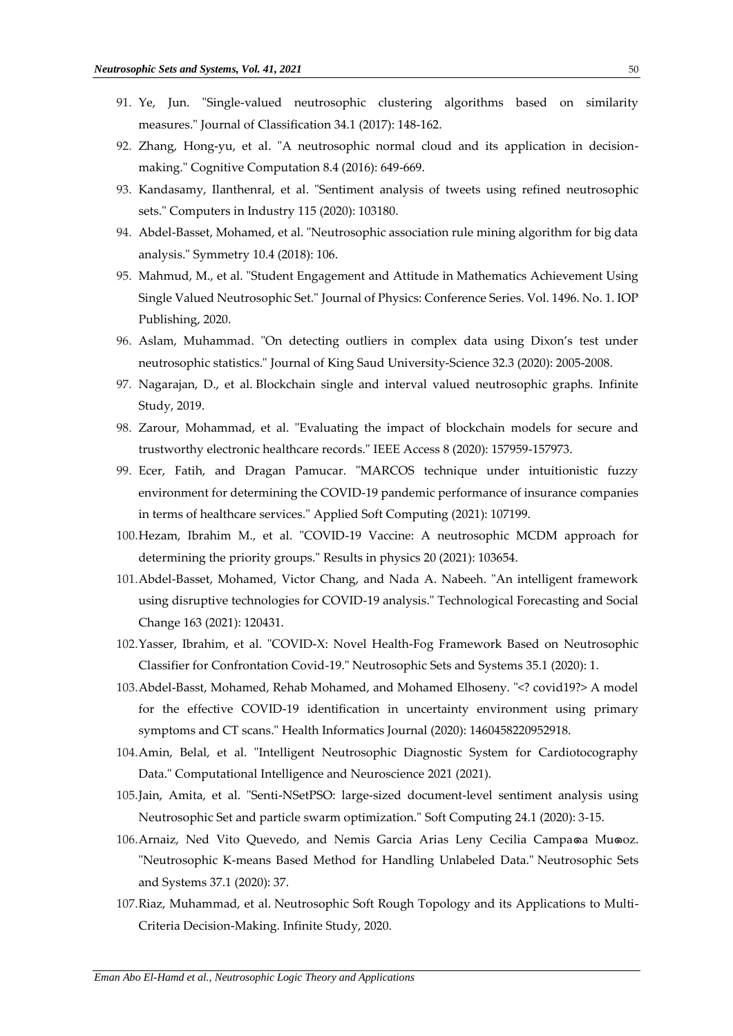- 91. Ye, Jun. "Single-valued neutrosophic clustering algorithms based on similarity measures." Journal of Classification 34.1 (2017): 148-162.
- 92. Zhang, Hong-yu, et al. "A neutrosophic normal cloud and its application in decisionmaking." Cognitive Computation 8.4 (2016): 649-669.
- 93. Kandasamy, Ilanthenral, et al. "Sentiment analysis of tweets using refined neutrosophic sets." Computers in Industry 115 (2020): 103180.
- 94. Abdel-Basset, Mohamed, et al. "Neutrosophic association rule mining algorithm for big data analysis." Symmetry 10.4 (2018): 106.
- 95. Mahmud, M., et al. "Student Engagement and Attitude in Mathematics Achievement Using Single Valued Neutrosophic Set." Journal of Physics: Conference Series. Vol. 1496. No. 1. IOP Publishing, 2020.
- 96. Aslam, Muhammad. "On detecting outliers in complex data using Dixon's test under neutrosophic statistics." Journal of King Saud University-Science 32.3 (2020): 2005-2008.
- 97. Nagarajan, D., et al. Blockchain single and interval valued neutrosophic graphs. Infinite Study, 2019.
- 98. Zarour, Mohammad, et al. "Evaluating the impact of blockchain models for secure and trustworthy electronic healthcare records." IEEE Access 8 (2020): 157959-157973.
- 99. Ecer, Fatih, and Dragan Pamucar. "MARCOS technique under intuitionistic fuzzy environment for determining the COVID-19 pandemic performance of insurance companies in terms of healthcare services." Applied Soft Computing (2021): 107199.
- 100.Hezam, Ibrahim M., et al. "COVID-19 Vaccine: A neutrosophic MCDM approach for determining the priority groups." Results in physics 20 (2021): 103654.
- 101.Abdel-Basset, Mohamed, Victor Chang, and Nada A. Nabeeh. "An intelligent framework using disruptive technologies for COVID-19 analysis." Technological Forecasting and Social Change 163 (2021): 120431.
- 102.Yasser, Ibrahim, et al. "COVID-X: Novel Health-Fog Framework Based on Neutrosophic Classifier for Confrontation Covid-19." Neutrosophic Sets and Systems 35.1 (2020): 1.
- 103.Abdel-Basst, Mohamed, Rehab Mohamed, and Mohamed Elhoseny. "<? covid19?> A model for the effective COVID-19 identification in uncertainty environment using primary symptoms and CT scans." Health Informatics Journal (2020): 1460458220952918.
- 104.Amin, Belal, et al. "Intelligent Neutrosophic Diagnostic System for Cardiotocography Data." Computational Intelligence and Neuroscience 2021 (2021).
- 105.Jain, Amita, et al. "Senti-NSetPSO: large-sized document-level sentiment analysis using Neutrosophic Set and particle swarm optimization." Soft Computing 24.1 (2020): 3-15.
- 106.Arnaiz, Ned Vito Quevedo, and Nemis Garcia Arias Leny Cecilia Campa๑a Mu๑oz. "Neutrosophic K-means Based Method for Handling Unlabeled Data." Neutrosophic Sets and Systems 37.1 (2020): 37.
- 107.Riaz, Muhammad, et al. Neutrosophic Soft Rough Topology and its Applications to Multi-Criteria Decision-Making. Infinite Study, 2020.